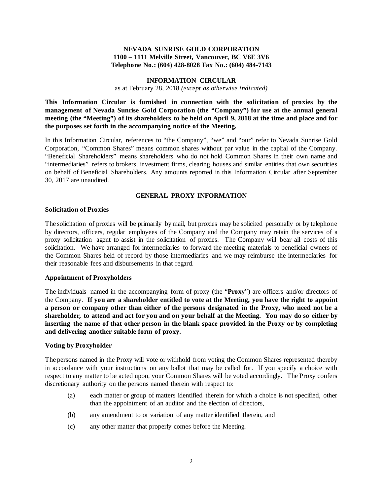### **NEVADA SUNRISE GOLD CORPORATION 1100 – 1111 Melville Street, Vancouver, BC V6E 3V6 Telephone No.: (604) 428-8028 Fax No.: (604) 484-7143**

### **INFORMATION CIRCULAR**

as at February 28, 2018 *(except as otherwise indicated)*

**This Information Circular is furnished in connection with the solicitation of proxies by the management of Nevada Sunrise Gold Corporation (the "Company") for use at the annual general meeting (the "Meeting") of its shareholders to be held on April 9, 2018 at the time and place and for the purposes set forth in the accompanying notice of the Meeting.** 

In this Information Circular, references to "the Company", "we" and "our" refer to Nevada Sunrise Gold Corporation, "Common Shares" means common shares without par value in the capital of the Company. "Beneficial Shareholders" means shareholders who do not hold Common Shares in their own name and "intermediaries" refers to brokers, investment firms, clearing houses and similar entities that own securities on behalf of Beneficial Shareholders. Any amounts reported in this Information Circular after September 30, 2017 are unaudited.

# **GENERAL PROXY INFORMATION**

#### **Solicitation of Proxies**

The solicitation of proxies will be primarily by mail, but proxies may be solicited personally or by telephone by directors, officers, regular employees of the Company and the Company may retain the services of a proxy solicitation agent to assist in the solicitation of proxies. The Company will bear all costs of this solicitation. We have arranged for intermediaries to forward the meeting materials to beneficial owners of the Common Shares held of record by those intermediaries and we may reimburse the intermediaries for their reasonable fees and disbursements in that regard.

#### **Appointment of Proxyholders**

The individuals named in the accompanying form of proxy (the "**Proxy**") are officers and/or directors of the Company. **If you are a shareholder entitled to vote at the Meeting, you have the right to appoint a person or company other than either of the persons designated in the Proxy, who need not be a shareholder, to attend and act for you and on your behalf at the Meeting. You may do so either by inserting the name of that other person in the blank space provided in the Proxy or by completing and delivering another suitable form of proxy.**

#### **Voting by Proxyholder**

The persons named in the Proxy will vote or withhold from voting the Common Shares represented thereby in accordance with your instructions on any ballot that may be called for. If you specify a choice with respect to any matter to be acted upon, your Common Shares will be voted accordingly. The Proxy confers discretionary authority on the persons named therein with respect to:

- (a) each matter or group of matters identified therein for which a choice is not specified, other than the appointment of an auditor and the election of directors,
- (b) any amendment to or variation of any matter identified therein, and
- (c) any other matter that properly comes before the Meeting.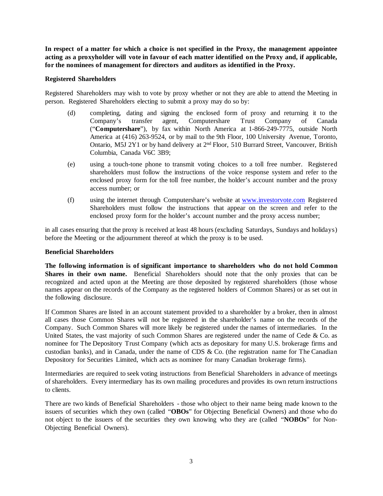**In respect of a matter for which a choice is not specified in the Proxy, the management appointee acting as a proxyholder will vote in favour of each matter identified on the Proxy and, if applicable, for the nominees of management for directors and auditors as identified in the Proxy.**

#### **Registered Shareholders**

Registered Shareholders may wish to vote by proxy whether or not they are able to attend the Meeting in person. Registered Shareholders electing to submit a proxy may do so by:

- (d) completing, dating and signing the enclosed form of proxy and returning it to the Company's transfer agent, Computershare Trust Company of Canada ("**Computershare**"), by fax within North America at 1-866-249-7775, outside North America at (416) 263-9524, or by mail to the 9th Floor, 100 University Avenue, Toronto, Ontario, M5J 2Y1 or by hand delivery at 2nd Floor, 510 Burrard Street, Vancouver, British Columbia, Canada V6C 3B9;
- (e) using a touch-tone phone to transmit voting choices to a toll free number. Registered shareholders must follow the instructions of the voice response system and refer to the enclosed proxy form for the toll free number, the holder's account number and the proxy access number; or
- (f) using the internet through Computershare's website at [www.investorvote.com](http://www.investorvote.com/) Registered Shareholders must follow the instructions that appear on the screen and refer to the enclosed proxy form for the holder's account number and the proxy access number;

in all cases ensuring that the proxy is received at least 48 hours (excluding Saturdays, Sundays and holidays) before the Meeting or the adjournment thereof at which the proxy is to be used.

#### **Beneficial Shareholders**

**The following information is of significant importance to shareholders who do not hold Common Shares in their own name.** Beneficial Shareholders should note that the only proxies that can be recognized and acted upon at the Meeting are those deposited by registered shareholders (those whose names appear on the records of the Company as the registered holders of Common Shares) or as set out in the following disclosure.

If Common Shares are listed in an account statement provided to a shareholder by a broker, then in almost all cases those Common Shares will not be registered in the shareholder's name on the records of the Company. Such Common Shares will more likely be registered under the names of intermediaries. In the United States, the vast majority of such Common Shares are registered under the name of Cede & Co. as nominee for The Depository Trust Company (which acts as depositary for many U.S. brokerage firms and custodian banks), and in Canada, under the name of CDS & Co. (the registration name for The Canadian Depository for Securities Limited, which acts as nominee for many Canadian brokerage firms).

Intermediaries are required to seek voting instructions from Beneficial Shareholders in advance of meetings of shareholders. Every intermediary has its own mailing procedures and provides its own return instructions to clients.

There are two kinds of Beneficial Shareholders - those who object to their name being made known to the issuers of securities which they own (called "**OBOs**" for Objecting Beneficial Owners) and those who do not object to the issuers of the securities they own knowing who they are (called "**NOBOs**" for Non-Objecting Beneficial Owners).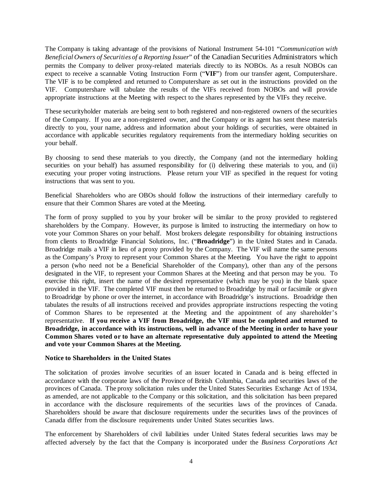The Company is taking advantage of the provisions of National Instrument 54-101 "*Communication with Beneficial Owners of Securities of a Reporting Issuer*" of the Canadian Securities Administrators which permits the Company to deliver proxy-related materials directly to its NOBOs. As a result NOBOs can expect to receive a scannable Voting Instruction Form ("**VIF**") from our transfer agent, Computershare. The VIF is to be completed and returned to Computershare as set out in the instructions provided on the VIF. Computershare will tabulate the results of the VIFs received from NOBOs and will provide appropriate instructions at the Meeting with respect to the shares represented by the VIFs they receive.

These securityholder materials are being sent to both registered and non-registered owners of the securities of the Company. If you are a non-registered owner, and the Company or its agent has sent these materials directly to you, your name, address and information about your holdings of securities, were obtained in accordance with applicable securities regulatory requirements from the intermediary holding securities on your behalf.

By choosing to send these materials to you directly, the Company (and not the intermediary holding securities on your behalf) has assumed responsibility for (i) delivering these materials to you, and (ii) executing your proper voting instructions. Please return your VIF as specified in the request for voting instructions that was sent to you.

Beneficial Shareholders who are OBOs should follow the instructions of their intermediary carefully to ensure that their Common Shares are voted at the Meeting.

The form of proxy supplied to you by your broker will be similar to the proxy provided to registered shareholders by the Company. However, its purpose is limited to instructing the intermediary on how to vote your Common Shares on your behalf. Most brokers delegate responsibility for obtaining instructions from clients to Broadridge Financial Solutions, Inc. ("**Broadridge**") in the United States and in Canada. Broadridge mails a VIF in lieu of a proxy provided by the Company. The VIF will name the same persons as the Company's Proxy to represent your Common Shares at the Meeting. You have the right to appoint a person (who need not be a Beneficial Shareholder of the Company), other than any of the persons designated in the VIF, to represent your Common Shares at the Meeting and that person may be you. To exercise this right, insert the name of the desired representative (which may be you) in the blank space provided in the VIF. The completed VIF must then be returned to Broadridge by mail or facsimile or given to Broadridge by phone or over the internet, in accordance with Broadridge's instructions. Broadridge then tabulates the results of all instructions received and provides appropriate instructions respecting the voting of Common Shares to be represented at the Meeting and the appointment of any shareholder's representative. **If you receive a VIF from Broadridge, the VIF must be completed and returned to Broadridge, in accordance with its instructions, well in advance of the Meeting in order to have your Common Shares voted or to have an alternate representative duly appointed to attend the Meeting and vote your Common Shares at the Meeting.**

### **Notice to Shareholders in the United States**

The solicitation of proxies involve securities of an issuer located in Canada and is being effected in accordance with the corporate laws of the Province of British Columbia, Canada and securities laws of the provinces of Canada. The proxy solicitation rules under the United States Securities Exchange Act of 1934, as amended, are not applicable to the Company or this solicitation, and this solicitation has been prepared in accordance with the disclosure requirements of the securities laws of the provinces of Canada. Shareholders should be aware that disclosure requirements under the securities laws of the provinces of Canada differ from the disclosure requirements under United States securities laws.

The enforcement by Shareholders of civil liabilities under United States federal securities laws may be affected adversely by the fact that the Company is incorporated under the *Business Corporations Act*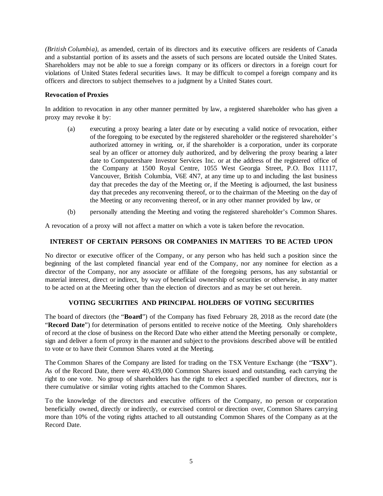*(British Columbia)*, as amended, certain of its directors and its executive officers are residents of Canada and a substantial portion of its assets and the assets of such persons are located outside the United States. Shareholders may not be able to sue a foreign company or its officers or directors in a foreign court for violations of United States federal securities laws. It may be difficult to compel a foreign company and its officers and directors to subject themselves to a judgment by a United States court.

### **Revocation of Proxies**

In addition to revocation in any other manner permitted by law, a registered shareholder who has given a proxy may revoke it by:

- (a) executing a proxy bearing a later date or by executing a valid notice of revocation, either of the foregoing to be executed by the registered shareholder or the registered shareholder's authorized attorney in writing, or, if the shareholder is a corporation, under its corporate seal by an officer or attorney duly authorized, and by delivering the proxy bearing a later date to Computershare Investor Services Inc. or at the address of the registered office of the Company at 1500 Royal Centre, 1055 West Georgia Street, P.O. Box 11117, Vancouver, British Columbia, V6E 4N7, at any time up to and including the last business day that precedes the day of the Meeting or, if the Meeting is adjourned, the last business day that precedes any reconvening thereof, or to the chairman of the Meeting on the day of the Meeting or any reconvening thereof, or in any other manner provided by law, or
- (b) personally attending the Meeting and voting the registered shareholder's Common Shares.

A revocation of a proxy will not affect a matter on which a vote is taken before the revocation.

### **INTEREST OF CERTAIN PERSONS OR COMPANIES IN MATTERS TO BE ACTED UPON**

No director or executive officer of the Company, or any person who has held such a position since the beginning of the last completed financial year end of the Company, nor any nominee for election as a director of the Company, nor any associate or affiliate of the foregoing persons, has any substantial or material interest, direct or indirect, by way of beneficial ownership of securities or otherwise, in any matter to be acted on at the Meeting other than the election of directors and as may be set out herein.

# **VOTING SECURITIES AND PRINCIPAL HOLDERS OF VOTING SECURITIES**

The board of directors (the "**Board**") of the Company has fixed February 28, 2018 as the record date (the "**Record Date**") for determination of persons entitled to receive notice of the Meeting. Only shareholders of record at the close of business on the Record Date who either attend the Meeting personally or complete, sign and deliver a form of proxy in the manner and subject to the provisions described above will be entitled to vote or to have their Common Shares voted at the Meeting.

The Common Shares of the Company are listed for trading on the TSX Venture Exchange (the "**TSXV**"). As of the Record Date, there were 40,439,000 Common Shares issued and outstanding, each carrying the right to one vote. No group of shareholders has the right to elect a specified number of directors, nor is there cumulative or similar voting rights attached to the Common Shares.

To the knowledge of the directors and executive officers of the Company, no person or corporation beneficially owned, directly or indirectly, or exercised control or direction over, Common Shares carrying more than 10% of the voting rights attached to all outstanding Common Shares of the Company as at the Record Date.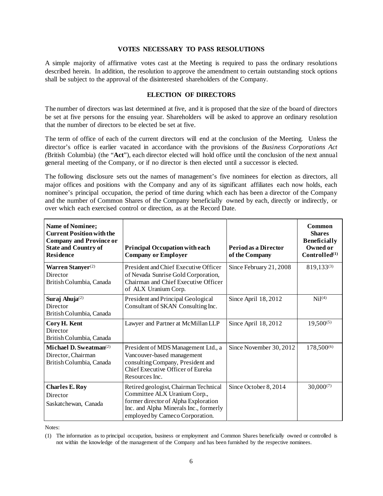#### **VOTES NECESSARY TO PASS RESOLUTIONS**

A simple majority of affirmative votes cast at the Meeting is required to pass the ordinary resolutions described herein. In addition, the resolution to approve the amendment to certain outstanding stock options shall be subject to the approval of the disinterested shareholders of the Company.

### **ELECTION OF DIRECTORS**

The number of directors was last determined at five, and it is proposed that the size of the board of directors be set at five persons for the ensuing year. Shareholders will be asked to approve an ordinary resolution that the number of directors to be elected be set at five.

The term of office of each of the current directors will end at the conclusion of the Meeting. Unless the director's office is earlier vacated in accordance with the provisions of the *Business Corporations Act (*British Columbia) (the "**Act**"), each director elected will hold office until the conclusion of the next annual general meeting of the Company, or if no director is then elected until a successor is elected.

The following disclosure sets out the names of management's five nominees for election as directors, all major offices and positions with the Company and any of its significant affiliates each now holds, each nominee's principal occupation, the period of time during which each has been a director of the Company and the number of Common Shares of the Company beneficially owned by each, directly or indirectly, or over which each exercised control or direction, as at the Record Date.

| <b>Name of Nominee;</b><br><b>Current Position with the</b><br><b>Company and Province or</b><br><b>State and Country of</b><br><b>Residence</b> | <b>Principal Occupation with each</b><br><b>Company or Employer</b>                                                                                                                        | Period as a Director<br>of the Company | Common<br><b>Shares</b><br><b>Beneficially</b><br>Owned or<br>Controlled <sup>(1)</sup> |
|--------------------------------------------------------------------------------------------------------------------------------------------------|--------------------------------------------------------------------------------------------------------------------------------------------------------------------------------------------|----------------------------------------|-----------------------------------------------------------------------------------------|
| Warren Stanyer <sup>(2)</sup><br>Director<br>British Columbia, Canada                                                                            | President and Chief Executive Officer<br>of Nevada Sunrise Gold Corporation,<br>Chairman and Chief Executive Officer<br>of ALX Uranium Corp.                                               | Since February 21, 2008                | 819,133 <sup>(3)</sup>                                                                  |
| Suraj Ahuja <sup>(2)</sup><br>Director<br>British Columbia, Canada                                                                               | President and Principal Geological<br>Consultant of SKAN Consulting Inc.                                                                                                                   | Since April 18, 2012                   | Ni <sup>(4)</sup>                                                                       |
| Cory H. Kent<br>Director<br>British Columbia, Canada                                                                                             | Lawyer and Partner at McMillan LLP                                                                                                                                                         | Since April 18, 2012                   | $19,500^{(5)}$                                                                          |
| Michael D. Sweatman $^{(2)}$<br>Director, Chairman<br>British Columbia, Canada                                                                   | President of MDS Management Ltd., a<br>Vancouver-based management<br>consulting Company, President and<br>Chief Executive Officer of Eureka<br>Resources Inc.                              | Since November 30, 2012                | 178,500 <sup>(6)</sup>                                                                  |
| <b>Charles E. Roy</b><br>Director<br>Saskatchewan, Canada                                                                                        | Retired geologist, Chairman Technical<br>Committee ALX Uranium Corp.,<br>former director of Alpha Exploration<br>Inc. and Alpha Minerals Inc., formerly<br>employed by Cameco Corporation. | Since October 8, 2014                  | $30,000^{(7)}$                                                                          |

Notes:

<sup>(1)</sup> The information as to principal occupation, business or employment and Common Shares beneficially owned or controlled is not within the knowledge of the management of the Company and has been furnished by the respective nominees.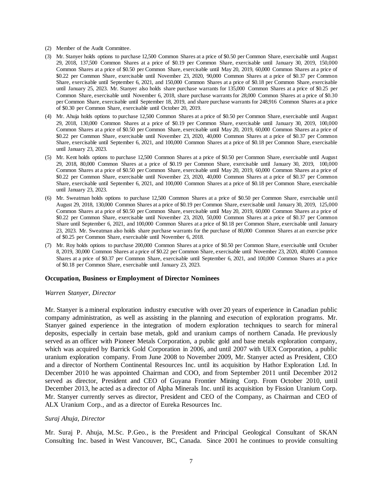- (2) Member of the Audit Committee.
- (3) Mr. Stanyer holds options to purchase 12,500 Common Shares at a price of \$0.50 per Common Share, exercisable until August 29, 2018, 137,500 Common Shares at a price of \$0.19 per Common Share, exercisable until January 30, 2019, 150,000 Common Shares at a price of \$0.50 per Common Share, exercisable until May 20, 2019, 60,000 Common Shares at a price of \$0.22 per Common Share, exercisable until November 23, 2020, 90,000 Common Shares at a price of \$0.37 per Common Share, exercisable until September 6, 2021, and 150,000 Common Shares at a price of \$0.18 per Common Share, exercisable until January 25, 2023. Mr. Stanyer also holds share purchase warrants for 135,000 Common Shares at a price of \$0.25 per Common Share, exercisable until November 6, 2018, share purchase warrants for 28,000 Common Shares at a price of \$0.30 per Common Share, exercisable until September 18, 2019, and share purchase warrants for 248,916 Common Shares at a price of \$0.30 per Common Share, exercisable until October 20, 2019.
- (4) Mr. Ahuja holds options to purchase 12,500 Common Shares at a price of \$0.50 per Common Share, exercisable until August 29, 2018, 130,000 Common Shares at a price of \$0.19 per Common Share, exercisable until January 30, 2019, 100,000 Common Shares at a price of \$0.50 per Common Share, exercisable until May 20, 2019, 60,000 Common Shares at a price of \$0.22 per Common Share, exercisable until November 23, 2020, 40,000 Common Shares at a price of \$0.37 per Common Share, exercisable until September 6, 2021, and 100,000 Common Shares at a price of \$0.18 per Common Share, exercisable until January 23, 2023.
- (5) Mr. Kent holds options to purchase 12,500 Common Shares at a price of \$0.50 per Common Share, exercisable until August 29, 2018, 80,000 Common Shares at a price of \$0.19 per Common Share, exercisable until January 30, 2019, 100,000 Common Shares at a price of \$0.50 per Common Share, exercisable until May 20, 2019, 60,000 Common Shares at a price of \$0.22 per Common Share, exercisable until November 23, 2020, 40,000 Common Shares at a price of \$0.37 per Common Share, exercisable until September 6, 2021, and 100,000 Common Shares at a price of \$0.18 per Common Share, exercisable until January 23, 2023.
- (6) Mr. Sweatman holds options to purchase 12,500 Common Shares at a price of \$0.50 per Common Share, exercisable until August 29, 2018, 130,000 Common Shares at a price of \$0.19 per Common Share, exercisable until January 30, 2019, 125,000 Common Shares at a price of \$0.50 per Common Share, exercisable until May 20, 2019, 60,000 Common Shares at a price of \$0.22 per Common Share, exercisable until November 23, 2020, 50,000 Common Shares at a price of \$0.37 per Common Share until September 6, 2021, and 100,000 Common Shares at a price of \$0.18 per Common Share, exercisable until January 23, 2023. Mr. Sweatman also holds share purchase warrants for the purchase of 80,000 Common Shares at an exercise price of \$0.25 per Common Share, exercisable until November 6, 2018.
- (7) Mr. Roy holds options to purchase 200,000 Common Shares at a price of \$0.50 per Common Share, exercisable until October 8, 2019, 30,000 Common Shares at a price of \$0.22 per Common Share, exercisable until November 23, 2020, 40,000 Common Shares at a price of \$0.37 per Common Share, exercisable until September 6, 2021, and 100,000 Common Shares at a price of \$0.18 per Common Share, exercisable until January 23, 2023.

#### **Occupation, Business or Employment of Director Nominees**

#### *Warren Stanyer, Director*

Mr. Stanyer is a mineral exploration industry executive with over 20 years of experience in Canadian public company administration, as well as assisting in the planning and execution of exploration programs. Mr. Stanyer gained experience in the integration of modern exploration techniques to search for mineral deposits, especially in certain base metals, gold and uranium camps of northern Canada. He previously served as an officer with Pioneer Metals Corporation, a public gold and base metals exploration company, which was acquired by Barrick Gold Corporation in 2006, and until 2007 with UEX Corporation, a public uranium exploration company. From June 2008 to November 2009, Mr. Stanyer acted as President, CEO and a director of Northern Continental Resources Inc. until its acquisition by Hathor Exploration Ltd. In December 2010 he was appointed Chairman and COO, and from September 2011 until December 2012 served as director, President and CEO of Guyana Frontier Mining Corp. From October 2010, until December 2013, he acted as a director of Alpha Minerals Inc. until its acquisition by Fission Uranium Corp. Mr. Stanyer currently serves as director, President and CEO of the Company, as Chairman and CEO of ALX Uranium Corp., and as a director of Eureka Resources Inc.

#### *Suraj Ahuja, Director*

Mr. Suraj P. Ahuja, M.Sc. P.Geo., is the President and Principal Geological Consultant of SKAN Consulting Inc. based in West Vancouver, BC, Canada. Since 2001 he continues to provide consulting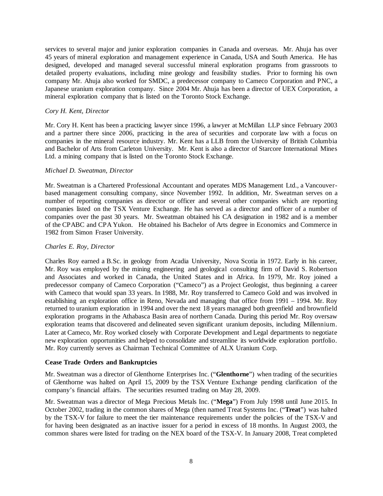services to several major and junior exploration companies in Canada and overseas. Mr. Ahuja has over 45 years of mineral exploration and management experience in Canada, USA and South America. He has designed, developed and managed several successful mineral exploration programs from grassroots to detailed property evaluations, including mine geology and feasibility studies. Prior to forming his own company Mr. Ahuja also worked for SMDC, a predecessor company to Cameco Corporation and PNC, a Japanese uranium exploration company. Since 2004 Mr. Ahuja has been a director of UEX Corporation, a mineral exploration company that is listed on the Toronto Stock Exchange.

### *Cory H. Kent, Director*

Mr. Cory H. Kent has been a practicing lawyer since 1996, a lawyer at McMillan LLP since February 2003 and a partner there since 2006, practicing in the area of securities and corporate law with a focus on companies in the mineral resource industry. Mr. Kent has a LLB from the University of British Columbia and Bachelor of Arts from Carleton University. Mr. Kent is also a director of Starcore International Mines Ltd. a mining company that is listed on the Toronto Stock Exchange.

### *Michael D. Sweatman, Director*

Mr. Sweatman is a Chartered Professional Accountant and operates MDS Management Ltd., a Vancouverbased management consulting company, since November 1992. In addition, Mr. Sweatman serves on a number of reporting companies as director or officer and several other companies which are reporting companies listed on the TSX Venture Exchange. He has served as a director and officer of a number of companies over the past 30 years. Mr. Sweatman obtained his CA designation in 1982 and is a member of the CPABC and CPA Yukon. He obtained his Bachelor of Arts degree in Economics and Commerce in 1982 from Simon Fraser University.

### *Charles E. Roy, Director*

Charles Roy earned a B.Sc. in geology from Acadia University, Nova Scotia in 1972. Early in his career, Mr. Roy was employed by the mining engineering and geological consulting firm of David S. Robertson and Associates and worked in Canada, the United States and in Africa. In 1979, Mr. Roy joined a predecessor company of Cameco Corporation ("Cameco") as a Project Geologist, thus beginning a career with Cameco that would span 33 years. In 1988, Mr. Roy transferred to Cameco Gold and was involved in establishing an exploration office in Reno, Nevada and managing that office from 1991 – 1994. Mr. Roy returned to uranium exploration in 1994 and over the next 18 years managed both greenfield and brownfield exploration programs in the Athabasca Basin area of northern Canada. During this period Mr. Roy oversaw exploration teams that discovered and delineated seven significant uranium deposits, including Millennium. Later at Cameco, Mr. Roy worked closely with Corporate Development and Legal departments to negotiate new exploration opportunities and helped to consolidate and streamline its worldwide exploration portfolio. Mr. Roy currently serves as Chairman Technical Committee of ALX Uranium Corp.

#### **Cease Trade Orders and Bankruptcies**

Mr. Sweatman was a director of Glenthorne Enterprises Inc. ("**Glenthorne**") when trading of the securities of Glenthorne was halted on April 15, 2009 by the TSX Venture Exchange pending clarification of the company's financial affairs. The securities resumed trading on May 28, 2009.

Mr. Sweatman was a director of Mega Precious Metals Inc. ("**Mega**") From July 1998 until June 2015. In October 2002, trading in the common shares of Mega (then named Treat Systems Inc. ("**Treat**") was halted by the TSX-V for failure to meet the tier maintenance requirements under the policies of the TSX-V and for having been designated as an inactive issuer for a period in excess of 18 months. In August 2003, the common shares were listed for trading on the NEX board of the TSX-V. In January 2008, Treat completed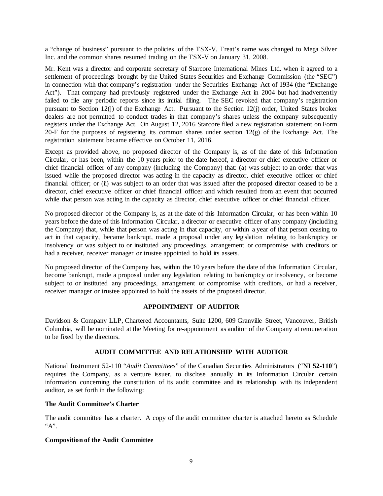a "change of business" pursuant to the policies of the TSX-V. Treat's name was changed to Mega Silver Inc. and the common shares resumed trading on the TSX-V on January 31, 2008.

Mr. Kent was a director and corporate secretary of Starcore International Mines Ltd. when it agreed to a settlement of proceedings brought by the United States Securities and Exchange Commission (the "SEC") in connection with that company's registration under the Securities Exchange Act of 1934 (the "Exchange Act"). That company had previously registered under the Exchange Act in 2004 but had inadvertently failed to file any periodic reports since its initial filing. The SEC revoked that company's registration pursuant to Section 12(j) of the Exchange Act. Pursuant to the Section 12(j) order, United States broker dealers are not permitted to conduct trades in that company's shares unless the company subsequently registers under the Exchange Act. On August 12, 2016 Starcore filed a new registration statement on Form 20-F for the purposes of registering its common shares under section 12(g) of the Exchange Act. The registration statement became effective on October 11, 2016.

Except as provided above, no proposed director of the Company is, as of the date of this Information Circular, or has been, within the 10 years prior to the date hereof, a director or chief executive officer or chief financial officer of any company (including the Company) that: (a) was subject to an order that was issued while the proposed director was acting in the capacity as director, chief executive officer or chief financial officer; or (ii) was subject to an order that was issued after the proposed director ceased to be a director, chief executive officer or chief financial officer and which resulted from an event that occurred while that person was acting in the capacity as director, chief executive officer or chief financial officer.

No proposed director of the Company is, as at the date of this Information Circular, or has been within 10 years before the date of this Information Circular, a director or executive officer of any company (including the Company) that, while that person was acting in that capacity, or within a year of that person ceasing to act in that capacity, became bankrupt, made a proposal under any legislation relating to bankruptcy or insolvency or was subject to or instituted any proceedings, arrangement or compromise with creditors or had a receiver, receiver manager or trustee appointed to hold its assets.

No proposed director of the Company has, within the 10 years before the date of this Information Circular, become bankrupt, made a proposal under any legislation relating to bankruptcy or insolvency, or become subject to or instituted any proceedings, arrangement or compromise with creditors, or had a receiver, receiver manager or trustee appointed to hold the assets of the proposed director.

# **APPOINTMENT OF AUDITOR**

Davidson & Company LLP, Chartered Accountants, Suite 1200, 609 Granville Street, Vancouver, British Columbia, will be nominated at the Meeting for re-appointment as auditor of the Company at remuneration to be fixed by the directors.

#### **AUDIT COMMITTEE AND RELATIONSHIP WITH AUDITOR**

National Instrument 52-110 "*Audit Committees*" of the Canadian Securities Administrators ("**NI 52-110**") requires the Company, as a venture issuer, to disclose annually in its Information Circular certain information concerning the constitution of its audit committee and its relationship with its independent auditor, as set forth in the following:

### **The Audit Committee's Charter**

The audit committee has a charter. A copy of the audit committee charter is attached hereto as Schedule "A".

#### **Composition of the Audit Committee**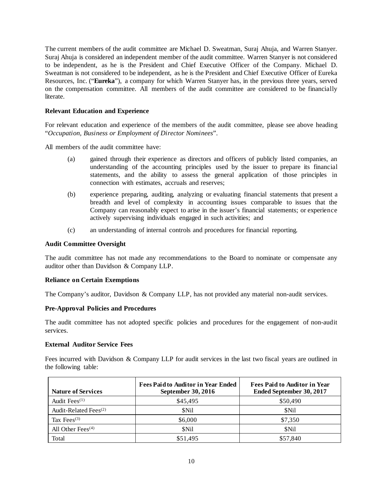The current members of the audit committee are Michael D. Sweatman, Suraj Ahuja, and Warren Stanyer. Suraj Ahuja is considered an independent member of the audit committee. Warren Stanyer is not considered to be independent, as he is the President and Chief Executive Officer of the Company. Michael D. Sweatman is not considered to be independent, as he is the President and Chief Executive Officer of Eureka Resources, Inc. ("**Eureka**"), a company for which Warren Stanyer has, in the previous three years, served on the compensation committee. All members of the audit committee are considered to be financially literate.

### **Relevant Education and Experience**

For relevant education and experience of the members of the audit committee, please see above heading "*Occupation, Business or Employment of Director Nominees*".

All members of the audit committee have:

- (a) gained through their experience as directors and officers of publicly listed companies, an understanding of the accounting principles used by the issuer to prepare its financial statements, and the ability to assess the general application of those principles in connection with estimates, accruals and reserves;
- (b) experience preparing, auditing, analyzing or evaluating financial statements that present a breadth and level of complexity in accounting issues comparable to issues that the Company can reasonably expect to arise in the issuer's financial statements; or experience actively supervising individuals engaged in such activities; and
- (c) an understanding of internal controls and procedures for financial reporting.

#### **Audit Committee Oversight**

The audit committee has not made any recommendations to the Board to nominate or compensate any auditor other than Davidson & Company LLP.

#### **Reliance on Certain Exemptions**

The Company's auditor, Davidson & Company LLP, has not provided any material non-audit services.

#### **Pre-Approval Policies and Procedures**

The audit committee has not adopted specific policies and procedures for the engagement of non-audit services.

#### **External Auditor Service Fees**

Fees incurred with Davidson & Company LLP for audit services in the last two fiscal years are outlined in the following table:

| <b>Nature of Services</b>         | <b>Fees Paid to Auditor in Year Ended</b><br>September 30, 2016 | <b>Fees Paid to Auditor in Year</b><br>Ended September 30, 2017 |
|-----------------------------------|-----------------------------------------------------------------|-----------------------------------------------------------------|
| Audit Fee $s^{(1)}$               | \$45,495                                                        | \$50,490                                                        |
| Audit-Related Fees <sup>(2)</sup> | <b>SNil</b>                                                     | \$Nil                                                           |
| Tax Fees $(3)$                    | \$6,000                                                         | \$7,350                                                         |
| All Other Fees $(4)$              | \$Nil                                                           | \$Nil                                                           |
| Total                             | \$51,495                                                        | \$57,840                                                        |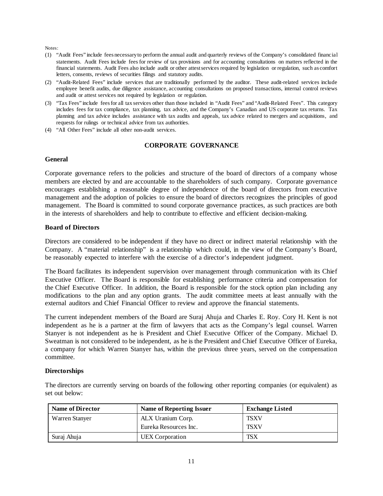Notes:

- (1) "Audit Fees" include fees necessary to perform the annual audit and quarterly reviews of the Company's consolidated financial statements. Audit Fees include fees for review of tax provisions and for accounting consultations on matters reflected in the financial statements. Audit Fees also include audit or other attest services required by legislation or regulation, such as comfort letters, consents, reviews of securities filings and statutory audits.
- (2) "Audit-Related Fees" include services that are traditionally performed by the auditor. These audit-related services include employee benefit audits, due diligence assistance, accounting consultations on proposed transactions, internal control reviews and audit or attest services not required by legislation or regulation.
- (3) "Tax Fees" include fees for all tax services other than those included in "Audit Fees" and "Audit-Related Fees". This category includes fees for tax compliance, tax planning, tax advice, and the Company's Canadian and US corporate tax returns. Tax planning and tax advice includes assistance with tax audits and appeals, tax advice related to mergers and acquisitions, and requests for rulings or technical advice from tax authorities.
- (4) "All Other Fees" include all other non-audit services.

### **CORPORATE GOVERNANCE**

#### **General**

Corporate governance refers to the policies and structure of the board of directors of a company whose members are elected by and are accountable to the shareholders of such company. Corporate governance encourages establishing a reasonable degree of independence of the board of directors from executive management and the adoption of policies to ensure the board of directors recognizes the principles of good management. The Board is committed to sound corporate governance practices, as such practices are both in the interests of shareholders and help to contribute to effective and efficient decision-making.

### **Board of Directors**

Directors are considered to be independent if they have no direct or indirect material relationship with the Company. A "material relationship" is a relationship which could, in the view of the Company's Board, be reasonably expected to interfere with the exercise of a director's independent judgment.

The Board facilitates its independent supervision over management through communication with its Chief Executive Officer. The Board is responsible for establishing performance criteria and compensation for the Chief Executive Officer. In addition, the Board is responsible for the stock option plan including any modifications to the plan and any option grants. The audit committee meets at least annually with the external auditors and Chief Financial Officer to review and approve the financial statements.

The current independent members of the Board are Suraj Ahuja and Charles E. Roy. Cory H. Kent is not independent as he is a partner at the firm of lawyers that acts as the Company's legal counsel. Warren Stanyer is not independent as he is President and Chief Executive Officer of the Company. Michael D. Sweatman is not considered to be independent, as he is the President and Chief Executive Officer of Eureka, a company for which Warren Stanyer has, within the previous three years, served on the compensation committee.

#### **Directorships**

The directors are currently serving on boards of the following other reporting companies (or equivalent) as set out below:

| <b>Name of Director</b> | Name of Reporting Issuer | <b>Exchange Listed</b> |
|-------------------------|--------------------------|------------------------|
| Warren Stanyer          | ALX Uranium Corp.        | <b>TSXV</b>            |
|                         | Eureka Resources Inc.    | TSXV                   |
| Suraj Ahuja             | UEX Corporation          | TSX                    |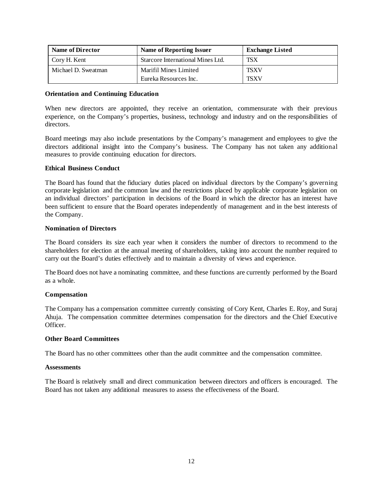| <b>Name of Director</b> | <b>Name of Reporting Issuer</b>   | <b>Exchange Listed</b> |
|-------------------------|-----------------------------------|------------------------|
| Cory H. Kent            | Starcore International Mines Ltd. | TSX <sup>1</sup>       |
| Michael D. Sweatman     | Marifil Mines Limited             | <b>TSXV</b>            |
|                         | Eureka Resources Inc.             | TSXV                   |

#### **Orientation and Continuing Education**

When new directors are appointed, they receive an orientation, commensurate with their previous experience, on the Company's properties, business, technology and industry and on the responsibilities of directors.

Board meetings may also include presentations by the Company's management and employees to give the directors additional insight into the Company's business. The Company has not taken any additional measures to provide continuing education for directors.

### **Ethical Business Conduct**

The Board has found that the fiduciary duties placed on individual directors by the Company's governing corporate legislation and the common law and the restrictions placed by applicable corporate legislation on an individual directors' participation in decisions of the Board in which the director has an interest have been sufficient to ensure that the Board operates independently of management and in the best interests of the Company.

### **Nomination of Directors**

The Board considers its size each year when it considers the number of directors to recommend to the shareholders for election at the annual meeting of shareholders, taking into account the number required to carry out the Board's duties effectively and to maintain a diversity of views and experience.

The Board does not have a nominating committee, and these functions are currently performed by the Board as a whole.

# **Compensation**

The Company has a compensation committee currently consisting of Cory Kent, Charles E. Roy, and Suraj Ahuja. The compensation committee determines compensation for the directors and the Chief Executive Officer.

#### **Other Board Committees**

The Board has no other committees other than the audit committee and the compensation committee.

# **Assessments**

The Board is relatively small and direct communication between directors and officers is encouraged. The Board has not taken any additional measures to assess the effectiveness of the Board.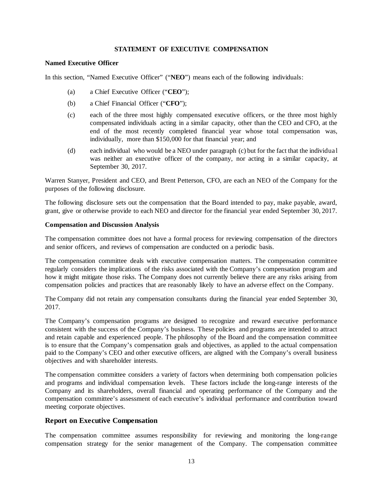### **STATEMENT OF EXECUTIVE COMPENSATION**

#### **Named Executive Officer**

In this section, "Named Executive Officer" ("**NEO**") means each of the following individuals:

- (a) a Chief Executive Officer ("**CEO**");
- (b) a Chief Financial Officer ("**CFO**");
- (c) each of the three most highly compensated executive officers, or the three most highly compensated individuals acting in a similar capacity, other than the CEO and CFO, at the end of the most recently completed financial year whose total compensation was, individually, more than \$150,000 for that financial year; and
- (d) each individual who would be a NEO under paragraph (c) but for the fact that the individual was neither an executive officer of the company, nor acting in a similar capacity, at September 30, 2017.

Warren Stanyer, President and CEO, and Brent Petterson, CFO, are each an NEO of the Company for the purposes of the following disclosure.

The following disclosure sets out the compensation that the Board intended to pay, make payable, award, grant, give or otherwise provide to each NEO and director for the financial year ended September 30, 2017.

#### **Compensation and Discussion Analysis**

The compensation committee does not have a formal process for reviewing compensation of the directors and senior officers, and reviews of compensation are conducted on a periodic basis.

The compensation committee deals with executive compensation matters. The compensation committee regularly considers the implications of the risks associated with the Company's compensation program and how it might mitigate those risks. The Company does not currently believe there are any risks arising from compensation policies and practices that are reasonably likely to have an adverse effect on the Company.

The Company did not retain any compensation consultants during the financial year ended September 30, 2017.

The Company's compensation programs are designed to recognize and reward executive performance consistent with the success of the Company's business. These policies and programs are intended to attract and retain capable and experienced people. The philosophy of the Board and the compensation committee is to ensure that the Company's compensation goals and objectives, as applied to the actual compensation paid to the Company's CEO and other executive officers, are aligned with the Company's overall business objectives and with shareholder interests.

The compensation committee considers a variety of factors when determining both compensation policies and programs and individual compensation levels. These factors include the long-range interests of the Company and its shareholders, overall financial and operating performance of the Company and the compensation committee's assessment of each executive's individual performance and contribution toward meeting corporate objectives.

# **Report on Executive Compensation**

The compensation committee assumes responsibility for reviewing and monitoring the long-range compensation strategy for the senior management of the Company. The compensation committee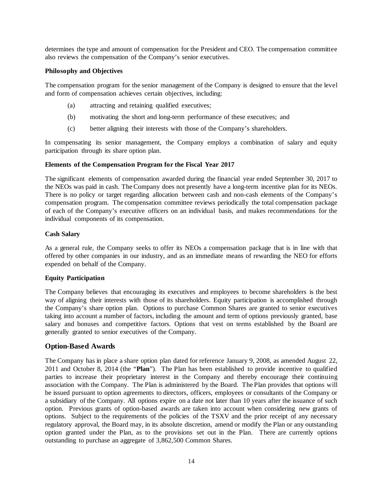determines the type and amount of compensation for the President and CEO. The compensation committee also reviews the compensation of the Company's senior executives.

### **Philosophy and Objectives**

The compensation program for the senior management of the Company is designed to ensure that the level and form of compensation achieves certain objectives, including:

- (a) attracting and retaining qualified executives;
- (b) motivating the short and long-term performance of these executives; and
- (c) better aligning their interests with those of the Company's shareholders.

In compensating its senior management, the Company employs a combination of salary and equity participation through its share option plan.

### **Elements of the Compensation Program for the Fiscal Year 2017**

The significant elements of compensation awarded during the financial year ended September 30, 2017 to the NEOs was paid in cash. The Company does not presently have a long-term incentive plan for its NEOs. There is no policy or target regarding allocation between cash and non-cash elements of the Company's compensation program. The compensation committee reviews periodically the total compensation package of each of the Company's executive officers on an individual basis, and makes recommendations for the individual components of its compensation.

### **Cash Salary**

As a general rule, the Company seeks to offer its NEOs a compensation package that is in line with that offered by other companies in our industry, and as an immediate means of rewarding the NEO for efforts expended on behalf of the Company.

# **Equity Participation**

The Company believes that encouraging its executives and employees to become shareholders is the best way of aligning their interests with those of its shareholders. Equity participation is accomplished through the Company's share option plan. Options to purchase Common Shares are granted to senior executives taking into account a number of factors, including the amount and term of options previously granted, base salary and bonuses and competitive factors. Options that vest on terms established by the Board are generally granted to senior executives of the Company.

# **Option-Based Awards**

The Company has in place a share option plan dated for reference January 9, 2008, as amended August 22, 2011 and October 8, 2014 (the "**Plan**"). The Plan has been established to provide incentive to qualified parties to increase their proprietary interest in the Company and thereby encourage their continuing association with the Company. The Plan is administered by the Board. The Plan provides that options will be issued pursuant to option agreements to directors, officers, employees or consultants of the Company or a subsidiary of the Company. All options expire on a date not later than 10 years after the issuance of such option. Previous grants of option-based awards are taken into account when considering new grants of options. Subject to the requirements of the policies of the TSXV and the prior receipt of any necessary regulatory approval, the Board may, in its absolute discretion, amend or modify the Plan or any outstanding option granted under the Plan, as to the provisions set out in the Plan. There are currently options outstanding to purchase an aggregate of 3,862,500 Common Shares.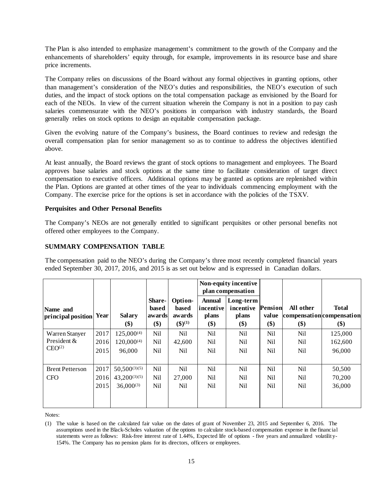The Plan is also intended to emphasize management's commitment to the growth of the Company and the enhancements of shareholders' equity through, for example, improvements in its resource base and share price increments.

The Company relies on discussions of the Board without any formal objectives in granting options, other than management's consideration of the NEO's duties and responsibilities, the NEO's execution of such duties, and the impact of stock options on the total compensation package as envisioned by the Board for each of the NEOs. In view of the current situation wherein the Company is not in a position to pay cash salaries commensurate with the NEO's positions in comparison with industry standards, the Board generally relies on stock options to design an equitable compensation package.

Given the evolving nature of the Company's business, the Board continues to review and redesign the overall compensation plan for senior management so as to continue to address the objectives identified above.

At least annually, the Board reviews the grant of stock options to management and employees. The Board approves base salaries and stock options at the same time to facilitate consideration of target direct compensation to executive officers. Additional options may be granted as options are replenished within the Plan. Options are granted at other times of the year to individuals commencing employment with the Company. The exercise price for the options is set in accordance with the policies of the TSXV.

# **Perquisites and Other Personal Benefits**

The Company's NEOs are not generally entitled to significant perquisites or other personal benefits not offered other employees to the Company.

### **SUMMARY COMPENSATION TABLE**

The compensation paid to the NEO's during the Company's three most recently completed financial years ended September 30, 2017, 2016, and 2015 is as set out below and is expressed in Canadian dollars.

|                                                     |                      |                                                          |                                         |                                                            |                                            | Non-equity incentive<br>plan compensation |                          |                              |                                                  |
|-----------------------------------------------------|----------------------|----------------------------------------------------------|-----------------------------------------|------------------------------------------------------------|--------------------------------------------|-------------------------------------------|--------------------------|------------------------------|--------------------------------------------------|
| Name and<br>principal position                      | Year                 | <b>Salary</b><br>\$)                                     | <b>Share-</b><br>based<br>awards<br>\$) | Option-<br>based<br>awards<br>$($ \$ $)($ <sup>1</sup> $)$ | <b>Annual</b><br>incentive<br>plans<br>\$) | Long-term<br>incentive<br>plans<br>\$)    | Pension<br>value<br>\$)  | All other<br>\$)             | <b>Total</b><br>compensation compensation<br>\$) |
| Warren Stanyer<br>President &<br>CEO <sup>(2)</sup> | 2017<br>2016<br>2015 | $125,000^{(4)}$<br>$120,000^{(4)}$<br>96,000             | Nil<br>Nil<br><b>Nil</b>                | Nil<br>42,600<br>Nil                                       | Nil<br>Nil<br>Nil                          | Nil<br>Nil<br>Nil                         | <b>Nil</b><br>Nil<br>Nil | Nil<br>Nil<br>Nil            | 125,000<br>162,600<br>96,000                     |
| <b>Brent Petterson</b><br><b>CFO</b>                | 2017<br>2016<br>2015 | $50,500^{(3)(5)}$<br>$43,200^{(3)(5)}$<br>$36,000^{(3)}$ | <b>Nil</b><br>Nil<br>Nil                | Nil<br>27,000<br>Nil                                       | Nil<br>Nil<br>Nil                          | Nil<br>Nil<br>Nil                         | <b>Nil</b><br>Nil<br>Nil | N <sub>i</sub><br>Nil<br>Nil | 50,500<br>70,200<br>36,000                       |

Notes:

<sup>(1)</sup> The value is based on the calculated fair value on the dates of grant of November 23, 2015 and September 6, 2016. The assumptions used in the Black-Scholes valuation of the options to calculate stock-based compensation expense in the financial statements were as follows: Risk-free interest rate of 1.44%, Expected life of options - five years and annualized volatility-154%. The Company has no pension plans for its directors, officers or employees.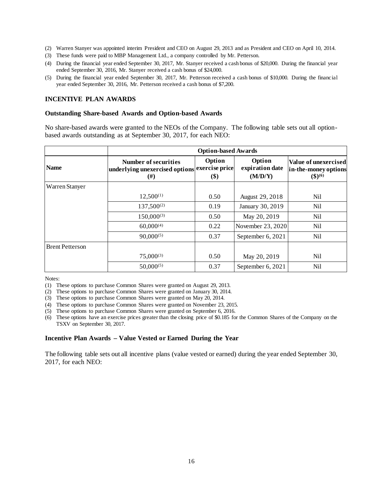- (2) Warren Stanyer was appointed interim President and CEO on August 29, 2013 and as President and CEO on April 10, 2014.
- (3) These funds were paid to MBP Management Ltd., a company controlled by Mr. Petterson.
- (4) During the financial year ended September 30, 2017, Mr. Stanyer received a cash bonus of \$20,000. During the financial year ended September 30, 2016, Mr. Stanyer received a cash bonus of \$24,000.
- (5) During the financial year ended September 30, 2017, Mr. Petterson received a cash bonus of \$10,000. During the financial year ended September 30, 2016, Mr. Petterson received a cash bonus of \$7,200.

#### **INCENTIVE PLAN AWARDS**

#### **Outstanding Share-based Awards and Option-based Awards**

No share-based awards were granted to the NEOs of the Company. The following table sets out all optionbased awards outstanding as at September 30, 2017, for each NEO:

|                        | <b>Option-based Awards</b>                                                               |               |                                      |                                                                        |  |  |
|------------------------|------------------------------------------------------------------------------------------|---------------|--------------------------------------|------------------------------------------------------------------------|--|--|
| <b>Name</b>            | <b>Number of securities</b><br> underlying unexercised options exercise price <br>$(\#)$ | Option<br>\$) | Option<br>expiration date<br>(M/D/Y) | Value of unexercised<br>in-the-money options<br>$($ \$) <sup>(6)</sup> |  |  |
| Warren Stanyer         |                                                                                          |               |                                      |                                                                        |  |  |
|                        | $12,500^{(1)}$                                                                           | 0.50          | August 29, 2018                      | Nil                                                                    |  |  |
|                        | $137,500^{(2)}$                                                                          | 0.19          | January 30, 2019                     | Nil                                                                    |  |  |
|                        | $150,000^{(3)}$                                                                          | 0.50          | May 20, 2019                         | Nil                                                                    |  |  |
|                        | $60,000^{(4)}$                                                                           | 0.22          | November 23, 2020                    | <b>Nil</b>                                                             |  |  |
|                        | $90,000^{(5)}$                                                                           | 0.37          | September 6, 2021                    | Nil                                                                    |  |  |
| <b>Brent Petterson</b> |                                                                                          |               |                                      |                                                                        |  |  |
|                        | $75,000^{(3)}$                                                                           | 0.50          | May 20, 2019                         | Nil                                                                    |  |  |
|                        | $50,000^{(5)}$                                                                           | 0.37          | September 6, 2021                    | <b>Nil</b>                                                             |  |  |

Notes:

(1) These options to purchase Common Shares were granted on August 29, 2013.

(2) These options to purchase Common Shares were granted on January 30, 2014.

(3) These options to purchase Common Shares were granted on May 20, 2014.

(4) These options to purchase Common Shares were granted on November 23, 2015.

(5) These options to purchase Common Shares were granted on September 6, 2016.

(6) These options have an exercise prices greater than the closing price of \$0.185 for the Common Shares of the Company on the TSXV on September 30, 2017.

#### **Incentive Plan Awards – Value Vested or Earned During the Year**

The following table sets out all incentive plans (value vested or earned) during the year ended September 30, 2017, for each NEO: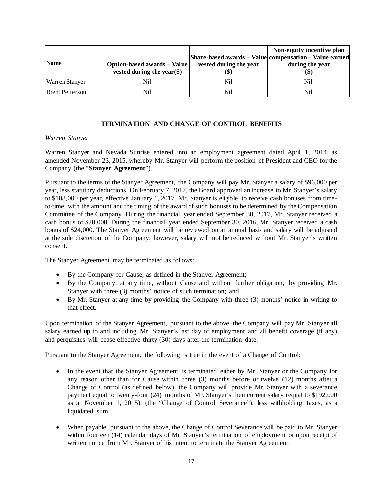| <b>Name</b>            | Option-based awards - Value<br>vested during the year $(\$)$ | vested during the year | Non-equity incentive plan<br>Share-based awards – Value compensation – Value earned<br>during the year<br>$\left( \mathbf{\$} \right)$ |
|------------------------|--------------------------------------------------------------|------------------------|----------------------------------------------------------------------------------------------------------------------------------------|
| <b>Warren Stanyer</b>  | Nil                                                          | Nil                    | Nil                                                                                                                                    |
| <b>Brent Petterson</b> | Nil                                                          | Nil                    | Nil                                                                                                                                    |

# **TERMINATION AND CHANGE OF CONTROL BENEFITS**

### *Warren Stanyer*

Warren Stanyer and Nevada Sunrise entered into an employment agreement dated April 1, 2014, as amended November 23, 2015, whereby Mr. Stanyer will perform the position of President and CEO for the Company (the "**Stanyer Agreement**").

Pursuant to the terms of the Stanyer Agreement, the Company will pay Mr. Stanyer a salary of \$96,000 per year, less statutory deductions. On February 7, 2017, the Board approved an increase to Mr. Stanyer's salary to \$108,000 per year, effective January 1, 2017. Mr. Stanyer is eligible to receive cash bonuses from timeto-time, with the amount and the timing of the award of such bonuses to be determined by the Compensation Committee of the Company. During the financial year ended September 30, 2017, Mr. Stanyer received a cash bonus of \$20,000. During the financial year ended September 30, 2016, Mr. Stanyer received a cash bonus of \$24,000. The Stanyer Agreement will be reviewed on an annual basis and salary will be adjusted at the sole discretion of the Company; however, salary will not be reduced without Mr. Stanyer's written consent.

The Stanyer Agreement may be terminated as follows:

- By the Company for Cause, as defined in the Stanyer Agreement;
- By the Company, at any time, without Cause and without further obligation, by providing Mr. Stanyer with three (3) months' notice of such termination; and
- By Mr. Stanyer at any time by providing the Company with three (3) months' notice in writing to that effect.

Upon termination of the Stanyer Agreement, pursuant to the above, the Company will pay Mr. Stanyer all salary earned up to and including Mr. Stanyer's last day of employment and all benefit coverage (if any) and perquisites will cease effective thirty (30) days after the termination date.

Pursuant to the Stanyer Agreement, the following is true in the event of a Change of Control:

- In the event that the Stanyer Agreement is terminated either by Mr. Stanyer or the Company for any reason other than for Cause within three (3) months before or twelve (12) months after a Change of Control (as defined below), the Company will provide Mr. Stanyer with a severance payment equal to twenty-four (24) months of Mr. Stanyer's then current salary (equal to \$192,000 as at November 1, 2015), (the "Change of Control Severance"), less withholding taxes, as a liquidated sum.
- When payable, pursuant to the above, the Change of Control Severance will be paid to Mr. Stanyer within fourteen (14) calendar days of Mr. Stanyer's termination of employment or upon receipt of written notice from Mr. Stanyer of his intent to terminate the Stanyer Agreement.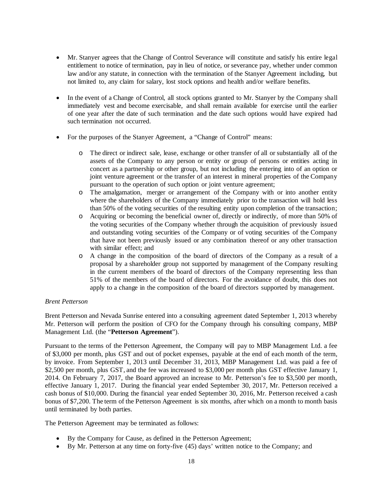- Mr. Stanyer agrees that the Change of Control Severance will constitute and satisfy his entire legal entitlement to notice of termination, pay in lieu of notice, or severance pay, whether under common law and/or any statute, in connection with the termination of the Stanyer Agreement including, but not limited to, any claim for salary, lost stock options and health and/or welfare benefits.
- In the event of a Change of Control, all stock options granted to Mr. Stanyer by the Company shall immediately vest and become exercisable, and shall remain available for exercise until the earlier of one year after the date of such termination and the date such options would have expired had such termination not occurred.
- For the purposes of the Stanyer Agreement, a "Change of Control" means:
	- o The direct or indirect sale, lease, exchange or other transfer of all or substantially all of the assets of the Company to any person or entity or group of persons or entities acting in concert as a partnership or other group, but not including the entering into of an option or joint venture agreement or the transfer of an interest in mineral properties of the Company pursuant to the operation of such option or joint venture agreement;
	- o The amalgamation, merger or arrangement of the Company with or into another entity where the shareholders of the Company immediately prior to the transaction will hold less than 50% of the voting securities of the resulting entity upon completion of the transaction;
	- o Acquiring or becoming the beneficial owner of, directly or indirectly, of more than 50% of the voting securities of the Company whether through the acquisition of previously issued and outstanding voting securities of the Company or of voting securities of the Company that have not been previously issued or any combination thereof or any other transaction with similar effect; and
	- o A change in the composition of the board of directors of the Company as a result of a proposal by a shareholder group not supported by management of the Company resulting in the current members of the board of directors of the Company representing less than 51% of the members of the board of directors. For the avoidance of doubt, this does not apply to a change in the composition of the board of directors supported by management.

# *Brent Petterson*

Brent Petterson and Nevada Sunrise entered into a consulting agreement dated September 1, 2013 whereby Mr. Petterson will perform the position of CFO for the Company through his consulting company, MBP Management Ltd. (the "**Petterson Agreement**").

Pursuant to the terms of the Petterson Agreement, the Company will pay to MBP Management Ltd. a fee of \$3,000 per month, plus GST and out of pocket expenses, payable at the end of each month of the term, by invoice. From September 1, 2013 until December 31, 2013, MBP Management Ltd. was paid a fee of \$2,500 per month, plus GST, and the fee was increased to \$3,000 per month plus GST effective January 1, 2014. On February 7, 2017, the Board approved an increase to Mr. Petterson's fee to \$3,500 per month, effective January 1, 2017. During the financial year ended September 30, 2017, Mr. Petterson received a cash bonus of \$10,000. During the financial year ended September 30, 2016, Mr. Petterson received a cash bonus of \$7,200. The term of the Petterson Agreement is six months, after which on a month to month basis until terminated by both parties.

The Petterson Agreement may be terminated as follows:

- By the Company for Cause, as defined in the Petterson Agreement;
- By Mr. Petterson at any time on forty-five (45) days' written notice to the Company; and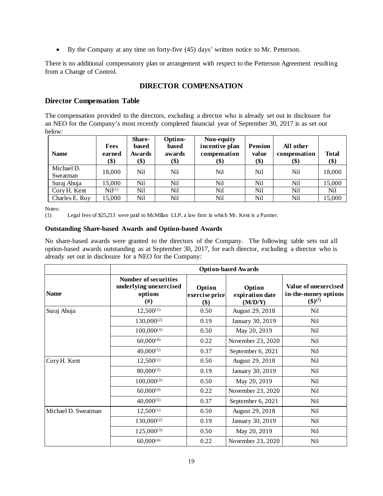• By the Company at any time on forty-five (45) days' written notice to Mr. Petterson.

There is no additional compensatory plan or arrangement with respect to the Petterson Agreement resulting from a Change of Control.

# **DIRECTOR COMPENSATION**

# **Director Compensation Table**

The compensation provided to the directors, excluding a director who is already set out in disclosure for an NEO for the Company's most recently completed financial year of September 30, 2017 is as set out below:

| <b>Name</b>            | Fees<br>earned<br>\$) | <b>Share-</b><br>based<br>Awards<br>(\$) | Option-<br>based<br>awards<br>\$) | Non-equity<br>incentive plan<br>compensation<br>(\$) | <b>Pension</b><br>value<br>\$) | All other<br>compensation<br>\$) | <b>Total</b><br>\$) |
|------------------------|-----------------------|------------------------------------------|-----------------------------------|------------------------------------------------------|--------------------------------|----------------------------------|---------------------|
| Michael D.<br>Sweatman | 18,000                | Nil                                      | Nil                               | Nil                                                  | Nil                            | Nil                              | 18,000              |
| Suraj Ahuja            | 15,000                | Nil                                      | Nil                               | Nil                                                  | Nil                            | Nil                              | 15,000              |
| Cory H. Kent           | Ni <sup>(1)</sup>     | Nil                                      | Nil                               | Nil                                                  | Nil                            | Nil                              | Nil                 |
| Charles E. Roy         | 15,000                | Nil                                      | Nil                               | Nil                                                  | Nil                            | Nil                              | 15,000              |

Notes:

(1) Legal fees of \$25,213 were paid to McMillan LLP, a law firm in which Mr. Kent is a Partner.

### **Outstanding Share-based Awards and Option-based Awards**

No share-based awards were granted to the directors of the Company. The following table sets out all option-based awards outstanding as at September 30, 2017, for each director, excluding a director who is already set out in disclosure for a NEO for the Company:

|                     |                                                                        |                                 | <b>Option-based Awards</b>           |                                                                |
|---------------------|------------------------------------------------------------------------|---------------------------------|--------------------------------------|----------------------------------------------------------------|
| <b>Name</b>         | <b>Number of securities</b><br>underlying unexercised<br>options<br>#) | Option<br>exercise price<br>\$) | Option<br>expiration date<br>(M/D/Y) | Value of unexercised<br>in-the-money options<br>$({\$})^{(7)}$ |
| Suraj Ahuja         | $12,500^{(1)}$                                                         | 0.50                            | August 29, 2018                      | Nil                                                            |
|                     | $130,000^{(2)}$                                                        | 0.19                            | January 30, 2019                     | Nil                                                            |
|                     | $100,000^{(3)}$                                                        | 0.50                            | May 20, 2019                         | Nil                                                            |
|                     | $60,000^{(4)}$                                                         | 0.22                            | November 23, 2020                    | Nil                                                            |
|                     | $40,000^{(5)}$                                                         | 0.37                            | September 6, 2021                    | Nil                                                            |
| Cory H. Kent        | $12,500^{(1)}$                                                         | 0.50                            | August 29, 2018                      | Nil                                                            |
|                     | $80,000^{(2)}$                                                         | 0.19                            | January 30, 2019                     | Nil                                                            |
|                     | $100,000^{(3)}$                                                        | 0.50                            | May 20, 2019                         | Nil                                                            |
|                     | $60,000^{(4)}$                                                         | 0.22                            | November 23, 2020                    | Nil                                                            |
|                     | $40,000^{(5)}$                                                         | 0.37                            | September 6, 2021                    | Nil                                                            |
| Michael D. Sweatman | $12,500^{(1)}$                                                         | 0.50                            | August 29, 2018                      | Nil                                                            |
|                     | $130,000^{(2)}$                                                        | 0.19                            | January 30, 2019                     | Nil                                                            |
|                     | $125,000^{(3)}$                                                        | 0.50                            | May 20, 2019                         | Nil                                                            |
|                     | $60,000^{(4)}$                                                         | 0.22                            | November 23, 2020                    | Nil                                                            |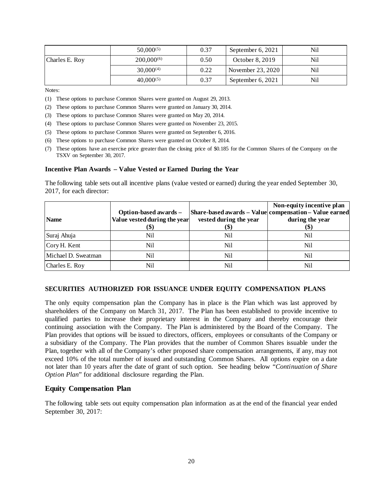|                | $50,000^{(5)}$  | 0.37 | September $6, 2021$ | Nil |
|----------------|-----------------|------|---------------------|-----|
| Charles E. Roy | $200,000^{(6)}$ | 0.50 | October 8, 2019     | Nil |
|                | $30,000^{(4)}$  | 0.22 | November $23,2020$  | Nil |
|                | $40.000^{(5)}$  | 0.37 | September $6, 2021$ | Nil |

Notes:

(1) These options to purchase Common Shares were granted on August 29, 2013.

(2) These options to purchase Common Shares were granted on January 30, 2014.

- (3) These options to purchase Common Shares were granted on May 20, 2014.
- (4) These options to purchase Common Shares were granted on November 23, 2015.
- (5) These options to purchase Common Shares were granted on September 6, 2016.
- (6) These options to purchase Common Shares were granted on October 8, 2014.
- (7) These options have an exercise price greater than the closing price of \$0.185 for the Common Shares of the Company on the TSXV on September 30, 2017.

#### **Incentive Plan Awards – Value Vested or Earned During the Year**

The following table sets out all incentive plans (value vested or earned) during the year ended September 30, 2017, for each director:

| <b>Name</b>         | Option-based awards -<br>Value vested during the year | vested during the year | Non-equity incentive plan<br>Share-based awards - Value compensation - Value earned<br>during the year |
|---------------------|-------------------------------------------------------|------------------------|--------------------------------------------------------------------------------------------------------|
| Suraj Ahuja         | Nil                                                   | Nil                    | (S)<br>Nil                                                                                             |
| Cory H. Kent        | Nil                                                   | Nil                    | Nil                                                                                                    |
| Michael D. Sweatman | Nil                                                   | Nil                    | Nil                                                                                                    |
| Charles E. Roy      | Nil                                                   | Nil                    | Nil                                                                                                    |

### **SECURITIES AUTHORIZED FOR ISSUANCE UNDER EQUITY COMPENSATION PLANS**

The only equity compensation plan the Company has in place is the Plan which was last approved by shareholders of the Company on March 31, 2017. The Plan has been established to provide incentive to qualified parties to increase their proprietary interest in the Company and thereby encourage their continuing association with the Company. The Plan is administered by the Board of the Company. The Plan provides that options will be issued to directors, officers, employees or consultants of the Company or a subsidiary of the Company. The Plan provides that the number of Common Shares issuable under the Plan, together with all of the Company's other proposed share compensation arrangements, if any, may not exceed 10% of the total number of issued and outstanding Common Shares. All options expire on a date not later than 10 years after the date of grant of such option. See heading below "*Continuation of Share Option Plan*" for additional disclosure regarding the Plan.

### **Equity Compensation Plan**

The following table sets out equity compensation plan information as at the end of the financial year ended September 30, 2017: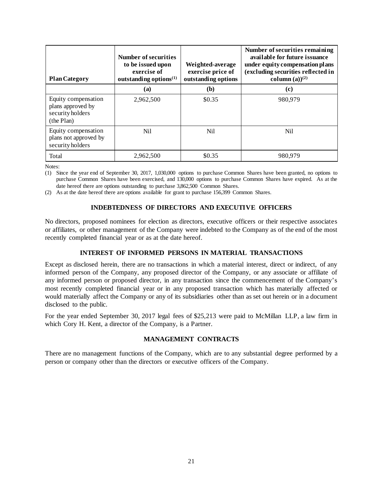| <b>Plan Category</b>                                                       | Number of securities<br>to be issued upon<br>exercise of<br>outstanding options $(1)$ | Weighted-average<br>exercise price of<br>outstanding options | Number of securities remaining<br>available for future issuance<br>under equity compensation plans<br>(excluding securities reflected in<br>column (a) $)^{(2)}$ |
|----------------------------------------------------------------------------|---------------------------------------------------------------------------------------|--------------------------------------------------------------|------------------------------------------------------------------------------------------------------------------------------------------------------------------|
|                                                                            | (a)                                                                                   | (b)                                                          | (c)                                                                                                                                                              |
| Equity compensation<br>plans approved by<br>security holders<br>(the Plan) | 2.962.500                                                                             | \$0.35                                                       | 980.979                                                                                                                                                          |
| Equity compensation<br>plans not approved by<br>security holders           | Nil                                                                                   | <b>Nil</b>                                                   | Nil                                                                                                                                                              |
| Total                                                                      | 2.962.500                                                                             | \$0.35                                                       | 980.979                                                                                                                                                          |

Notes:

(1) Since the year end of September 30, 2017, 1,030,000 options to purchase Common Shares have been granted, no options to purchase Common Shares have been exercised, and 130,000 options to purchase Common Shares have expired. As at the date hereof there are options outstanding to purchase 3,862,500 Common Shares.

(2) As at the date hereof there are options available for grant to purchase 156,399 Common Shares.

### **INDEBTEDNESS OF DIRECTORS AND EXECUTIVE OFFICERS**

No directors, proposed nominees for election as directors, executive officers or their respective associates or affiliates, or other management of the Company were indebted to the Company as of the end of the most recently completed financial year or as at the date hereof.

#### **INTEREST OF INFORMED PERSONS IN MATERIAL TRANSACTIONS**

Except as disclosed herein, there are no transactions in which a material interest, direct or indirect, of any informed person of the Company, any proposed director of the Company, or any associate or affiliate of any informed person or proposed director, in any transaction since the commencement of the Company's most recently completed financial year or in any proposed transaction which has materially affected or would materially affect the Company or any of its subsidiaries other than as set out herein or in a document disclosed to the public.

For the year ended September 30, 2017 legal fees of \$25,213 were paid to McMillan LLP, a law firm in which Cory H. Kent, a director of the Company, is a Partner.

# **MANAGEMENT CONTRACTS**

There are no management functions of the Company, which are to any substantial degree performed by a person or company other than the directors or executive officers of the Company.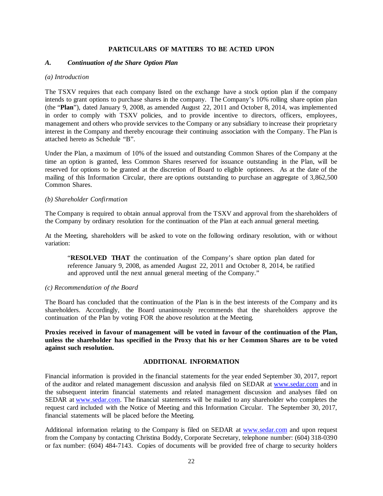#### **PARTICULARS OF MATTERS TO BE ACTED UPON**

#### *A. Continuation of the Share Option Plan*

#### *(a) Introduction*

The TSXV requires that each company listed on the exchange have a stock option plan if the company intends to grant options to purchase shares in the company. The Company's 10% rolling share option plan (the "**Plan**"), dated January 9, 2008, as amended August 22, 2011 and October 8, 2014, was implemented in order to comply with TSXV policies, and to provide incentive to directors, officers, employees, management and others who provide services to the Company or any subsidiary to increase their proprietary interest in the Company and thereby encourage their continuing association with the Company. The Plan is attached hereto as Schedule "B".

Under the Plan, a maximum of 10% of the issued and outstanding Common Shares of the Company at the time an option is granted, less Common Shares reserved for issuance outstanding in the Plan, will be reserved for options to be granted at the discretion of Board to eligible optionees. As at the date of the mailing of this Information Circular, there are options outstanding to purchase an aggregate of 3,862,500 Common Shares.

#### *(b) Shareholder Confirmation*

The Company is required to obtain annual approval from the TSXV and approval from the shareholders of the Company by ordinary resolution for the continuation of the Plan at each annual general meeting.

At the Meeting, shareholders will be asked to vote on the following ordinary resolution, with or without variation:

"**RESOLVED THAT** the continuation of the Company's share option plan dated for reference January 9, 2008, as amended August 22, 2011 and October 8, 2014, be ratified and approved until the next annual general meeting of the Company."

#### *(c) Recommendation of the Board*

The Board has concluded that the continuation of the Plan is in the best interests of the Company and its shareholders. Accordingly, the Board unanimously recommends that the shareholders approve the continuation of the Plan by voting FOR the above resolution at the Meeting.

**Proxies received in favour of management will be voted in favour of the continuation of the Plan, unless the shareholder has specified in the Proxy that his or her Common Shares are to be voted against such resolution.**

### **ADDITIONAL INFORMATION**

Financial information is provided in the financial statements for the year ended September 30, 2017, report of the auditor and related management discussion and analysis filed on SEDAR at [www.sedar.com](http://www.sedar.com/) and in the subsequent interim financial statements and related management discussion and analyses filed on SEDAR at [www.sedar.com.](http://www.sedar.com/) The financial statements will be mailed to any shareholder who completes the request card included with the Notice of Meeting and this Information Circular. The September 30, 2017, financial statements will be placed before the Meeting.

Additional information relating to the Company is filed on SEDAR at [www.sedar.com](http://www.sedar.com/) and upon request from the Company by contacting Christina Boddy, Corporate Secretary, telephone number: (604) 318-0390 or fax number: (604) 484-7143. Copies of documents will be provided free of charge to security holders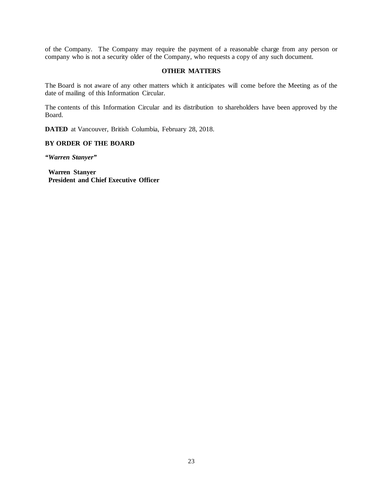of the Company. The Company may require the payment of a reasonable charge from any person or company who is not a security older of the Company, who requests a copy of any such document.

#### **OTHER MATTERS**

The Board is not aware of any other matters which it anticipates will come before the Meeting as of the date of mailing of this Information Circular.

The contents of this Information Circular and its distribution to shareholders have been approved by the Board.

**DATED** at Vancouver, British Columbia, February 28, 2018.

### **BY ORDER OF THE BOARD**

*"Warren Stanyer"*

**Warren Stanyer President and Chief Executive Officer**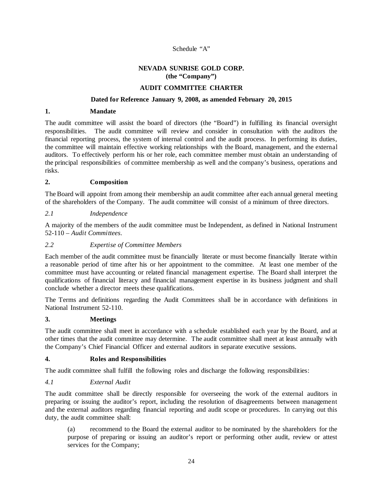# Schedule "A"

### **NEVADA SUNRISE GOLD CORP. (the "Company")**

### **AUDIT COMMITTEE CHARTER**

#### **Dated for Reference January 9, 2008, as amended February 20, 2015**

#### **1. Mandate**

The audit committee will assist the board of directors (the "Board") in fulfilling its financial oversight responsibilities. The audit committee will review and consider in consultation with the auditors the financial reporting process, the system of internal control and the audit process. In performing its duties, the committee will maintain effective working relationships with the Board, management, and the external auditors. To effectively perform his or her role, each committee member must obtain an understanding of the principal responsibilities of committee membership as well and the company's business, operations and risks.

### **2. Composition**

The Board will appoint from among their membership an audit committee after each annual general meeting of the shareholders of the Company. The audit committee will consist of a minimum of three directors.

### *2.1 Independence*

A majority of the members of the audit committee must be Independent, as defined in National Instrument 52-110 – *Audit Committees*.

# *2.2 Expertise of Committee Members*

Each member of the audit committee must be financially literate or must become financially literate within a reasonable period of time after his or her appointment to the committee. At least one member of the committee must have accounting or related financial management expertise. The Board shall interpret the qualifications of financial literacy and financial management expertise in its business judgment and shall conclude whether a director meets these qualifications.

The Terms and definitions regarding the Audit Committees shall be in accordance with definitions in National Instrument 52-110.

#### **3. Meetings**

The audit committee shall meet in accordance with a schedule established each year by the Board, and at other times that the audit committee may determine. The audit committee shall meet at least annually with the Company's Chief Financial Officer and external auditors in separate executive sessions.

#### **4. Roles and Responsibilities**

The audit committee shall fulfill the following roles and discharge the following responsibilities:

# *4.1 External Audit*

The audit committee shall be directly responsible for overseeing the work of the external auditors in preparing or issuing the auditor's report, including the resolution of disagreements between management and the external auditors regarding financial reporting and audit scope or procedures. In carrying out this duty, the audit committee shall:

(a) recommend to the Board the external auditor to be nominated by the shareholders for the purpose of preparing or issuing an auditor's report or performing other audit, review or attest services for the Company;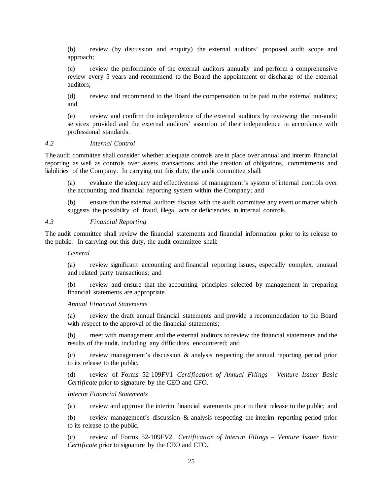(b) review (by discussion and enquiry) the external auditors' proposed audit scope and approach;

(c) review the performance of the external auditors annually and perform a comprehensive review every 5 years and recommend to the Board the appointment or discharge of the external auditors;

(d) review and recommend to the Board the compensation to be paid to the external auditors; and

(e) review and confirm the independence of the external auditors by reviewing the non-audit services provided and the external auditors' assertion of their independence in accordance with professional standards.

#### *4.2 Internal Control*

The audit committee shall consider whether adequate controls are in place over annual and interim financial reporting as well as controls over assets, transactions and the creation of obligations, commitments and liabilities of the Company. In carrying out this duty, the audit committee shall:

(a) evaluate the adequacy and effectiveness of management's system of internal controls over the accounting and financial reporting system within the Company; and

(b) ensure that the external auditors discuss with the audit committee any event or matter which suggests the possibility of fraud, illegal acts or deficiencies in internal controls.

#### *4.3 Financial Reporting*

The audit committee shall review the financial statements and financial information prior to its release to the public. In carrying out this duty, the audit committee shall:

#### *General*

(a) review significant accounting and financial reporting issues, especially complex, unusual and related party transactions; and

(b) review and ensure that the accounting principles selected by management in preparing financial statements are appropriate.

#### *Annual Financial Statements*

(a) review the draft annual financial statements and provide a recommendation to the Board with respect to the approval of the financial statements;

(b) meet with management and the external auditors to review the financial statements and the results of the audit, including any difficulties encountered; and

(c) review management's discussion & analysis respecting the annual reporting period prior to its release to the public.

(d) review of Forms 52-109FV1 *Certification of Annual Filings – Venture Issuer Basic Certificate* prior to signature by the CEO and CFO.

#### *Interim Financial Statements*

(a) review and approve the interim financial statements prior to their release to the public; and

(b) review management's discussion & analysis respecting the interim reporting period prior to its release to the public.

(c) review of Forms 52-109FV2, *Certification of Interim Filings* – *Venture Issuer Basic Certificate* prior to signature by the CEO and CFO.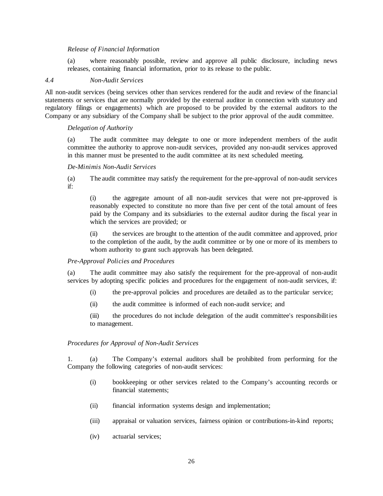#### *Release of Financial Information*

(a) where reasonably possible, review and approve all public disclosure, including news releases, containing financial information, prior to its release to the public.

#### *4.4 Non-Audit Services*

All non-audit services (being services other than services rendered for the audit and review of the financial statements or services that are normally provided by the external auditor in connection with statutory and regulatory filings or engagements) which are proposed to be provided by the external auditors to the Company or any subsidiary of the Company shall be subject to the prior approval of the audit committee.

### *Delegation of Authority*

(a) The audit committee may delegate to one or more independent members of the audit committee the authority to approve non-audit services, provided any non-audit services approved in this manner must be presented to the audit committee at its next scheduled meeting.

#### *De-Minimis Non-Audit Services*

(a) The audit committee may satisfy the requirement for the pre-approval of non-audit services if:

(i) the aggregate amount of all non-audit services that were not pre-approved is reasonably expected to constitute no more than five per cent of the total amount of fees paid by the Company and its subsidiaries to the external auditor during the fiscal year in which the services are provided; or

(ii) the services are brought to the attention of the audit committee and approved, prior to the completion of the audit, by the audit committee or by one or more of its members to whom authority to grant such approvals has been delegated.

#### *Pre-Approval Policies and Procedures*

(a) The audit committee may also satisfy the requirement for the pre-approval of non-audit services by adopting specific policies and procedures for the engagement of non-audit services, if:

- (i) the pre-approval policies and procedures are detailed as to the particular service;
- (ii) the audit committee is informed of each non-audit service; and

(iii) the procedures do not include delegation of the audit committee's responsibilities to management.

#### *Procedures for Approval of Non-Audit Services*

1. (a) The Company's external auditors shall be prohibited from performing for the Company the following categories of non-audit services:

- (i) bookkeeping or other services related to the Company's accounting records or financial statements;
- (ii) financial information systems design and implementation;
- (iii) appraisal or valuation services, fairness opinion or contributions-in-kind reports;
- (iv) actuarial services;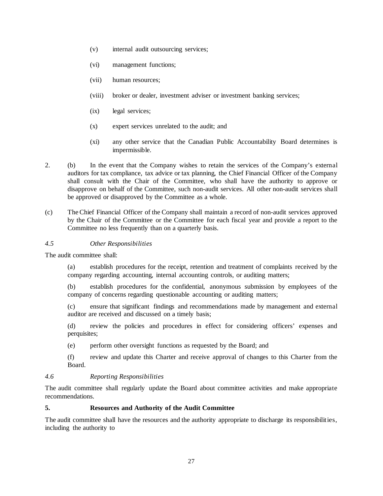- (v) internal audit outsourcing services;
- (vi) management functions;
- (vii) human resources;
- (viii) broker or dealer, investment adviser or investment banking services;
- (ix) legal services;
- (x) expert services unrelated to the audit; and
- (xi) any other service that the Canadian Public Accountability Board determines is impermissible.
- 2. (b) In the event that the Company wishes to retain the services of the Company's external auditors for tax compliance, tax advice or tax planning, the Chief Financial Officer of the Company shall consult with the Chair of the Committee, who shall have the authority to approve or disapprove on behalf of the Committee, such non-audit services. All other non-audit services shall be approved or disapproved by the Committee as a whole.
- (c) The Chief Financial Officer of the Company shall maintain a record of non-audit services approved by the Chair of the Committee or the Committee for each fiscal year and provide a report to the Committee no less frequently than on a quarterly basis.

# *4.5 Other Responsibilities*

The audit committee shall:

(a) establish procedures for the receipt, retention and treatment of complaints received by the company regarding accounting, internal accounting controls, or auditing matters;

(b) establish procedures for the confidential, anonymous submission by employees of the company of concerns regarding questionable accounting or auditing matters;

(c) ensure that significant findings and recommendations made by management and external auditor are received and discussed on a timely basis;

(d) review the policies and procedures in effect for considering officers' expenses and perquisites;

(e) perform other oversight functions as requested by the Board; and

(f) review and update this Charter and receive approval of changes to this Charter from the Board.

# *4.6 Reporting Responsibilities*

The audit committee shall regularly update the Board about committee activities and make appropriate recommendations.

# **5. Resources and Authority of the Audit Committee**

The audit committee shall have the resources and the authority appropriate to discharge its responsibilities, including the authority to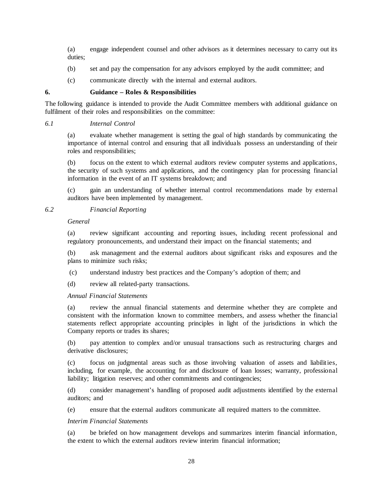(a) engage independent counsel and other advisors as it determines necessary to carry out its duties;

- (b) set and pay the compensation for any advisors employed by the audit committee; and
- (c) communicate directly with the internal and external auditors.

#### **6. Guidance – Roles & Responsibilities**

The following guidance is intended to provide the Audit Committee members with additional guidance on fulfilment of their roles and responsibilities on the committee:

#### *6.1 Internal Control*

(a) evaluate whether management is setting the goal of high standards by communicating the importance of internal control and ensuring that all individuals possess an understanding of their roles and responsibilities;

(b) focus on the extent to which external auditors review computer systems and applications, the security of such systems and applications, and the contingency plan for processing financial information in the event of an IT systems breakdown; and

(c) gain an understanding of whether internal control recommendations made by external auditors have been implemented by management.

### *6.2 Financial Reporting*

*General*

(a) review significant accounting and reporting issues, including recent professional and regulatory pronouncements, and understand their impact on the financial statements; and

(b) ask management and the external auditors about significant risks and exposures and the plans to minimize such risks;

(c) understand industry best practices and the Company's adoption of them; and

(d) review all related-party transactions.

*Annual Financial Statements*

(a) review the annual financial statements and determine whether they are complete and consistent with the information known to committee members, and assess whether the financial statements reflect appropriate accounting principles in light of the jurisdictions in which the Company reports or trades its shares;

(b) pay attention to complex and/or unusual transactions such as restructuring charges and derivative disclosures;

(c) focus on judgmental areas such as those involving valuation of assets and liabilities, including, for example, the accounting for and disclosure of loan losses; warranty, professional liability; litigation reserves; and other commitments and contingencies;

(d) consider management's handling of proposed audit adjustments identified by the external auditors; and

(e) ensure that the external auditors communicate all required matters to the committee.

#### *Interim Financial Statements*

(a) be briefed on how management develops and summarizes interim financial information, the extent to which the external auditors review interim financial information;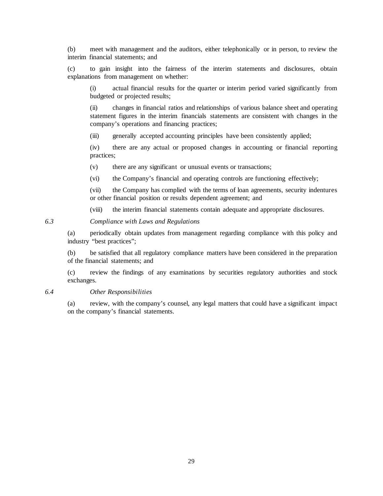(b) meet with management and the auditors, either telephonically or in person, to review the interim financial statements; and

(c) to gain insight into the fairness of the interim statements and disclosures, obtain explanations from management on whether:

(i) actual financial results for the quarter or interim period varied significantly from budgeted or projected results;

(ii) changes in financial ratios and relationships of various balance sheet and operating statement figures in the interim financials statements are consistent with changes in the company's operations and financing practices;

(iii) generally accepted accounting principles have been consistently applied;

(iv) there are any actual or proposed changes in accounting or financial reporting practices;

(v) there are any significant or unusual events or transactions;

(vi) the Company's financial and operating controls are functioning effectively;

(vii) the Company has complied with the terms of loan agreements, security indentures or other financial position or results dependent agreement; and

(viii) the interim financial statements contain adequate and appropriate disclosures.

### *6.3 Compliance with Laws and Regulations*

(a) periodically obtain updates from management regarding compliance with this policy and industry "best practices";

(b) be satisfied that all regulatory compliance matters have been considered in the preparation of the financial statements; and

(c) review the findings of any examinations by securities regulatory authorities and stock exchanges.

#### *6.4 Other Responsibilities*

(a) review, with the company's counsel, any legal matters that could have a significant impact on the company's financial statements.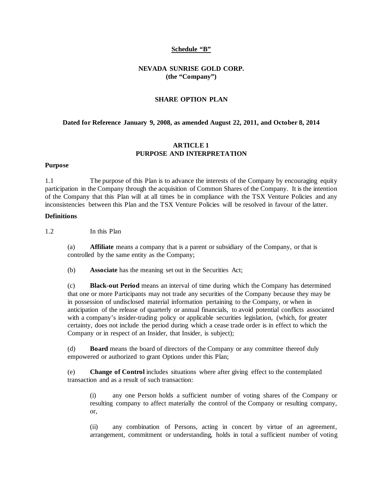#### **Schedule "B"**

### **NEVADA SUNRISE GOLD CORP. (the "Company")**

### **SHARE OPTION PLAN**

#### **Dated for Reference January 9, 2008, as amended August 22, 2011, and October 8, 2014**

#### **ARTICLE 1 PURPOSE AND INTERPRETATION**

#### **Purpose**

1.1 The purpose of this Plan is to advance the interests of the Company by encouraging equity participation in the Company through the acquisition of Common Shares of the Company. It is the intention of the Company that this Plan will at all times be in compliance with the TSX Venture Policies and any inconsistencies between this Plan and the TSX Venture Policies will be resolved in favour of the latter.

#### **Definitions**

1.2 In this Plan

(a) **Affiliate** means a company that is a parent or subsidiary of the Company, or that is controlled by the same entity as the Company;

(b) **Associate** has the meaning set out in the Securities Act;

(c) **Black-out Period** means an interval of time during which the Company has determined that one or more Participants may not trade any securities of the Company because they may be in possession of undisclosed material information pertaining to the Company, or when in anticipation of the release of quarterly or annual financials, to avoid potential conflicts associated with a company's insider-trading policy or applicable securities legislation, (which, for greater certainty, does not include the period during which a cease trade order is in effect to which the Company or in respect of an Insider, that Insider, is subject);

(d) **Board** means the board of directors of the Company or any committee thereof duly empowered or authorized to grant Options under this Plan;

(e) **Change of Control** includes situations where after giving effect to the contemplated transaction and as a result of such transaction:

(i) any one Person holds a sufficient number of voting shares of the Company or resulting company to affect materially the control of the Company or resulting company, or,

(ii) any combination of Persons, acting in concert by virtue of an agreement, arrangement, commitment or understanding, holds in total a sufficient number of voting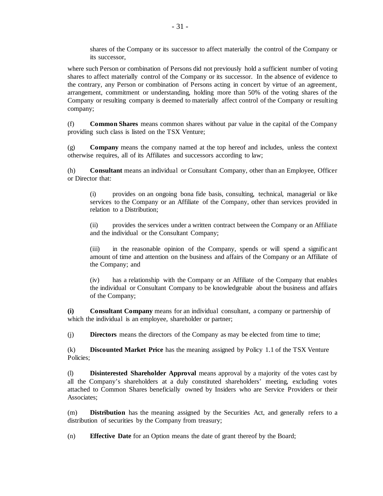shares of the Company or its successor to affect materially the control of the Company or its successor,

where such Person or combination of Persons did not previously hold a sufficient number of voting shares to affect materially control of the Company or its successor. In the absence of evidence to the contrary, any Person or combination of Persons acting in concert by virtue of an agreement, arrangement, commitment or understanding, holding more than 50% of the voting shares of the Company or resulting company is deemed to materially affect control of the Company or resulting company;

(f) **Common Shares** means common shares without par value in the capital of the Company providing such class is listed on the TSX Venture;

(g) **Company** means the company named at the top hereof and includes, unless the context otherwise requires, all of its Affiliates and successors according to law;

(h) **Consultant** means an individual or Consultant Company, other than an Employee, Officer or Director that:

(i) provides on an ongoing bona fide basis, consulting, technical, managerial or like services to the Company or an Affiliate of the Company, other than services provided in relation to a Distribution;

(ii) provides the services under a written contract between the Company or an Affiliate and the individual or the Consultant Company;

(iii) in the reasonable opinion of the Company, spends or will spend a significant amount of time and attention on the business and affairs of the Company or an Affiliate of the Company; and

(iv) has a relationship with the Company or an Affiliate of the Company that enables the individual or Consultant Company to be knowledgeable about the business and affairs of the Company;

**(i) Consultant Company** means for an individual consultant, a company or partnership of which the individual is an employee, shareholder or partner;

(j) **Directors** means the directors of the Company as may be elected from time to time;

(k) **Discounted Market Price** has the meaning assigned by Policy 1.1 of the TSX Venture Policies;

(l) **Disinterested Shareholder Approval** means approval by a majority of the votes cast by all the Company's shareholders at a duly constituted shareholders' meeting, excluding votes attached to Common Shares beneficially owned by Insiders who are Service Providers or their Associates;

(m) **Distribution** has the meaning assigned by the Securities Act, and generally refers to a distribution of securities by the Company from treasury;

(n) **Effective Date** for an Option means the date of grant thereof by the Board;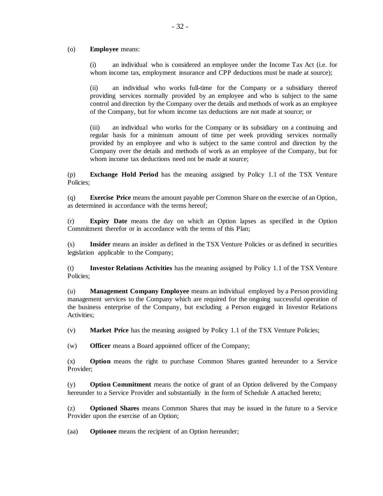#### (o) **Employee** means:

(i) an individual who is considered an employee under the Income Tax Act (i.e. for whom income tax, employment insurance and CPP deductions must be made at source);

(ii) an individual who works full-time for the Company or a subsidiary thereof providing services normally provided by an employee and who is subject to the same control and direction by the Company over the details and methods of work as an employee of the Company, but for whom income tax deductions are not made at source; or

(iii) an individual who works for the Company or its subsidiary on a continuing and regular basis for a minimum amount of time per week providing services normally provided by an employee and who is subject to the same control and direction by the Company over the details and methods of work as an employee of the Company, but for whom income tax deductions need not be made at source:

(p) **Exchange Hold Period** has the meaning assigned by Policy 1.1 of the TSX Venture Policies;

(q) **Exercise Price** means the amount payable per Common Share on the exercise of an Option, as determined in accordance with the terms hereof;

(r) **Expiry Date** means the day on which an Option lapses as specified in the Option Commitment therefor or in accordance with the terms of this Plan;

(s) **Insider** means an insider as defined in the TSX Venture Policies or as defined in securities legislation applicable to the Company;

(t) **Investor Relations Activities** has the meaning assigned by Policy 1.1 of the TSX Venture Policies;

(u) **Management Company Employee** means an individual employed by a Person providing management services to the Company which are required for the ongoing successful operation of the business enterprise of the Company, but excluding a Person engaged in Investor Relations Activities;

(v) **Market Price** has the meaning assigned by Policy 1.1 of the TSX Venture Policies;

(w) **Officer** means a Board appointed officer of the Company;

(x) **Option** means the right to purchase Common Shares granted hereunder to a Service Provider;

(y) **Option Commitment** means the notice of grant of an Option delivered by the Company hereunder to a Service Provider and substantially in the form of Schedule A attached hereto;

(z) **Optioned Shares** means Common Shares that may be issued in the future to a Service Provider upon the exercise of an Option;

(aa) **Optionee** means the recipient of an Option hereunder;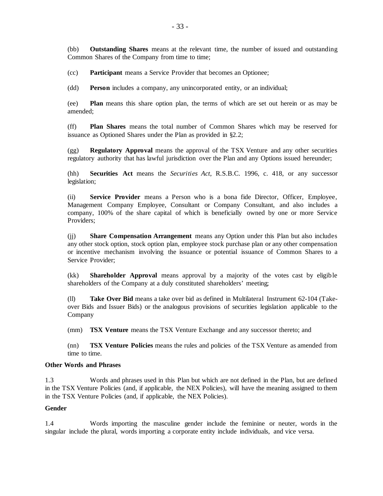(bb) **Outstanding Shares** means at the relevant time, the number of issued and outstanding Common Shares of the Company from time to time;

(cc) **Participant** means a Service Provider that becomes an Optionee;

(dd) **Person** includes a company, any unincorporated entity, or an individual;

(ee) **Plan** means this share option plan, the terms of which are set out herein or as may be amended;

(ff) **Plan Shares** means the total number of Common Shares which may be reserved for issuance as Optioned Shares under the Plan as provided in §2.2;

(gg) **Regulatory Approval** means the approval of the TSX Venture and any other securities regulatory authority that has lawful jurisdiction over the Plan and any Options issued hereunder;

(hh) **Securities Act** means the *Securities Act*, R.S.B.C. 1996, c. 418, or any successor legislation;

(ii) **Service Provider** means a Person who is a bona fide Director, Officer, Employee, Management Company Employee, Consultant or Company Consultant, and also includes a company, 100% of the share capital of which is beneficially owned by one or more Service Providers;

(jj) **Share Compensation Arrangement** means any Option under this Plan but also includes any other stock option, stock option plan, employee stock purchase plan or any other compensation or incentive mechanism involving the issuance or potential issuance of Common Shares to a Service Provider:

(kk) **Shareholder Approval** means approval by a majority of the votes cast by eligible shareholders of the Company at a duly constituted shareholders' meeting;

(ll) **Take Over Bid** means a take over bid as defined in Multilateral Instrument 62-104 (Takeover Bids and Issuer Bids) or the analogous provisions of securities legislation applicable to the Company

(mm) **TSX Venture** means the TSX Venture Exchange and any successor thereto; and

(nn) **TSX Venture Policies** means the rules and policies of the TSX Venture as amended from time to time.

#### **Other Words and Phrases**

1.3 Words and phrases used in this Plan but which are not defined in the Plan, but are defined in the TSX Venture Policies (and, if applicable, the NEX Policies), will have the meaning assigned to them in the TSX Venture Policies (and, if applicable, the NEX Policies).

#### **Gender**

1.4 Words importing the masculine gender include the feminine or neuter, words in the singular include the plural, words importing a corporate entity include individuals, and vice versa.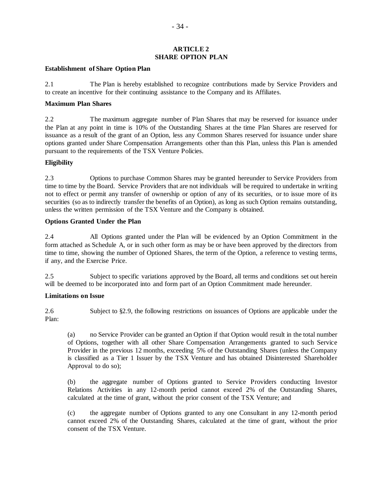#### **ARTICLE 2 SHARE OPTION PLAN**

### **Establishment of Share Option Plan**

2.1 The Plan is hereby established to recognize contributions made by Service Providers and to create an incentive for their continuing assistance to the Company and its Affiliates.

### **Maximum Plan Shares**

2.2 The maximum aggregate number of Plan Shares that may be reserved for issuance under the Plan at any point in time is 10% of the Outstanding Shares at the time Plan Shares are reserved for issuance as a result of the grant of an Option, less any Common Shares reserved for issuance under share options granted under Share Compensation Arrangements other than this Plan, unless this Plan is amended pursuant to the requirements of the TSX Venture Policies.

### **Eligibility**

2.3 Options to purchase Common Shares may be granted hereunder to Service Providers from time to time by the Board. Service Providers that are not individuals will be required to undertake in writing not to effect or permit any transfer of ownership or option of any of its securities, or to issue more of its securities (so as to indirectly transfer the benefits of an Option), as long as such Option remains outstanding, unless the written permission of the TSX Venture and the Company is obtained.

### **Options Granted Under the Plan**

2.4 All Options granted under the Plan will be evidenced by an Option Commitment in the form attached as Schedule A, or in such other form as may be or have been approved by the directors from time to time, showing the number of Optioned Shares, the term of the Option, a reference to vesting terms, if any, and the Exercise Price.

2.5 Subject to specific variations approved by the Board, all terms and conditions set out herein will be deemed to be incorporated into and form part of an Option Commitment made hereunder.

# **Limitations on Issue**

2.6 Subject to §2.9, the following restrictions on issuances of Options are applicable under the Plan:

(a) no Service Provider can be granted an Option if that Option would result in the total number of Options, together with all other Share Compensation Arrangements granted to such Service Provider in the previous 12 months, exceeding 5% of the Outstanding Shares (unless the Company is classified as a Tier 1 Issuer by the TSX Venture and has obtained Disinterested Shareholder Approval to do so);

(b) the aggregate number of Options granted to Service Providers conducting Investor Relations Activities in any 12-month period cannot exceed 2% of the Outstanding Shares, calculated at the time of grant, without the prior consent of the TSX Venture; and

(c) the aggregate number of Options granted to any one Consultant in any 12-month period cannot exceed 2% of the Outstanding Shares, calculated at the time of grant, without the prior consent of the TSX Venture.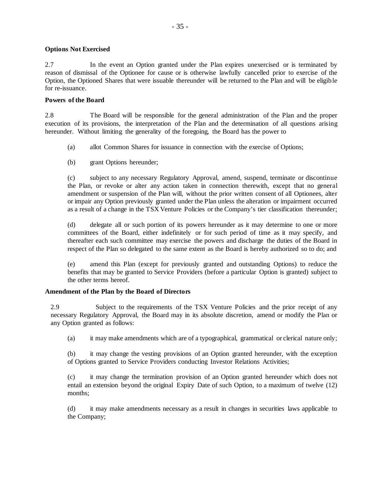#### **Options Not Exercised**

2.7 In the event an Option granted under the Plan expires unexercised or is terminated by reason of dismissal of the Optionee for cause or is otherwise lawfully cancelled prior to exercise of the Option, the Optioned Shares that were issuable thereunder will be returned to the Plan and will be eligible for re-issuance.

### **Powers of the Board**

2.8 The Board will be responsible for the general administration of the Plan and the proper execution of its provisions, the interpretation of the Plan and the determination of all questions arising hereunder. Without limiting the generality of the foregoing, the Board has the power to

- (a) allot Common Shares for issuance in connection with the exercise of Options;
- (b) grant Options hereunder;

(c) subject to any necessary Regulatory Approval, amend, suspend, terminate or discontinue the Plan, or revoke or alter any action taken in connection therewith, except that no general amendment or suspension of the Plan will, without the prior written consent of all Optionees, alter or impair any Option previously granted under the Plan unless the alteration or impairment occurred as a result of a change in the TSX Venture Policies or the Company's tier classification thereunder;

(d) delegate all or such portion of its powers hereunder as it may determine to one or more committees of the Board, either indefinitely or for such period of time as it may specify, and thereafter each such committee may exercise the powers and discharge the duties of the Board in respect of the Plan so delegated to the same extent as the Board is hereby authorized so to do; and

(e) amend this Plan (except for previously granted and outstanding Options) to reduce the benefits that may be granted to Service Providers (before a particular Option is granted) subject to the other terms hereof.

# **Amendment of the Plan by the Board of Directors**

2.9 Subject to the requirements of the TSX Venture Policies and the prior receipt of any necessary Regulatory Approval, the Board may in its absolute discretion, amend or modify the Plan or any Option granted as follows:

(a) it may make amendments which are of a typographical, grammatical or clerical nature only;

(b) it may change the vesting provisions of an Option granted hereunder, with the exception of Options granted to Service Providers conducting Investor Relations Activities;

(c) it may change the termination provision of an Option granted hereunder which does not entail an extension beyond the original Expiry Date of such Option, to a maximum of twelve (12) months;

(d) it may make amendments necessary as a result in changes in securities laws applicable to the Company;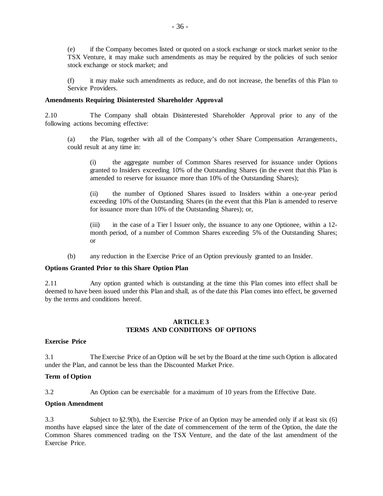(e) if the Company becomes listed or quoted on a stock exchange or stock market senior to the TSX Venture, it may make such amendments as may be required by the policies of such senior stock exchange or stock market; and

(f) it may make such amendments as reduce, and do not increase, the benefits of this Plan to Service Providers.

### **Amendments Requiring Disinterested Shareholder Approval**

2.10 The Company shall obtain Disinterested Shareholder Approval prior to any of the following actions becoming effective:

(a) the Plan, together with all of the Company's other Share Compensation Arrangements, could result at any time in:

(i) the aggregate number of Common Shares reserved for issuance under Options granted to Insiders exceeding 10% of the Outstanding Shares (in the event that this Plan is amended to reserve for issuance more than 10% of the Outstanding Shares);

(ii) the number of Optioned Shares issued to Insiders within a one-year period exceeding 10% of the Outstanding Shares (in the event that this Plan is amended to reserve for issuance more than 10% of the Outstanding Shares); or,

(iii) in the case of a Tier l Issuer only, the issuance to any one Optionee, within a 12 month period, of a number of Common Shares exceeding 5% of the Outstanding Shares; or

(b) any reduction in the Exercise Price of an Option previously granted to an Insider.

#### **Options Granted Prior to this Share Option Plan**

2.11 Any option granted which is outstanding at the time this Plan comes into effect shall be deemed to have been issued under this Plan and shall, as of the date this Plan comes into effect, be governed by the terms and conditions hereof.

### **ARTICLE 3 TERMS AND CONDITIONS OF OPTIONS**

#### **Exercise Price**

3.1 The Exercise Price of an Option will be set by the Board at the time such Option is allocated under the Plan, and cannot be less than the Discounted Market Price.

#### **Term of Option**

3.2 An Option can be exercisable for a maximum of 10 years from the Effective Date.

# **Option Amendment**

3.3 Subject to §2.9(b), the Exercise Price of an Option may be amended only if at least six (6) months have elapsed since the later of the date of commencement of the term of the Option, the date the Common Shares commenced trading on the TSX Venture, and the date of the last amendment of the Exercise Price.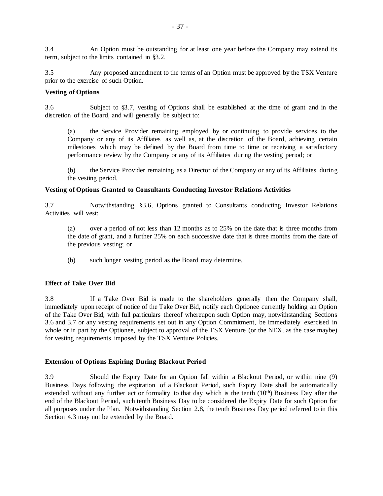3.4 An Option must be outstanding for at least one year before the Company may extend its term, subject to the limits contained in §3.2.

3.5 Any proposed amendment to the terms of an Option must be approved by the TSX Venture prior to the exercise of such Option.

#### **Vesting of Options**

3.6 Subject to §3.7, vesting of Options shall be established at the time of grant and in the discretion of the Board, and will generally be subject to:

(a) the Service Provider remaining employed by or continuing to provide services to the Company or any of its Affiliates as well as, at the discretion of the Board, achieving certain milestones which may be defined by the Board from time to time or receiving a satisfactory performance review by the Company or any of its Affiliates during the vesting period; or

(b) the Service Provider remaining as a Director of the Company or any of its Affiliates during the vesting period.

#### **Vesting of Options Granted to Consultants Conducting Investor Relations Activities**

3.7 Notwithstanding §3.6, Options granted to Consultants conducting Investor Relations Activities will vest:

(a) over a period of not less than 12 months as to 25% on the date that is three months from the date of grant, and a further 25% on each successive date that is three months from the date of the previous vesting; or

(b) such longer vesting period as the Board may determine.

#### **Effect of Take Over Bid**

3.8 If a Take Over Bid is made to the shareholders generally then the Company shall, immediately upon receipt of notice of the Take Over Bid, notify each Optionee currently holding an Option of the Take Over Bid, with full particulars thereof whereupon such Option may, notwithstanding Sections 3.6 and 3.7 or any vesting requirements set out in any Option Commitment, be immediately exercised in whole or in part by the Optionee, subject to approval of the TSX Venture (or the NEX, as the case maybe) for vesting requirements imposed by the TSX Venture Policies.

### **Extension of Options Expiring During Blackout Period**

3.9 Should the Expiry Date for an Option fall within a Blackout Period, or within nine (9) Business Days following the expiration of a Blackout Period, such Expiry Date shall be automatically extended without any further act or formality to that day which is the tenth (10<sup>th</sup>) Business Day after the end of the Blackout Period, such tenth Business Day to be considered the Expiry Date for such Option for all purposes under the Plan. Notwithstanding Section 2.8, the tenth Business Day period referred to in this Section 4.3 may not be extended by the Board.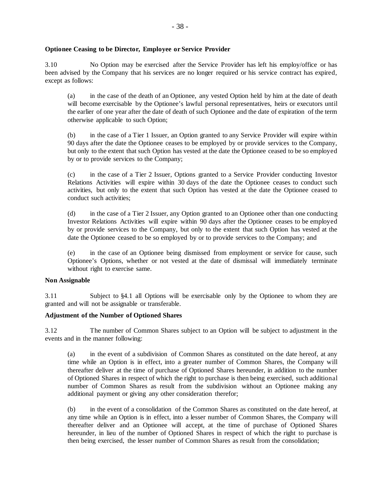#### **Optionee Ceasing to be Director, Employee or Service Provider**

3.10 No Option may be exercised after the Service Provider has left his employ/office or has been advised by the Company that his services are no longer required or his service contract has expired, except as follows:

(a) in the case of the death of an Optionee, any vested Option held by him at the date of death will become exercisable by the Optionee's lawful personal representatives, heirs or executors until the earlier of one year after the date of death of such Optionee and the date of expiration of the term otherwise applicable to such Option;

(b) in the case of a Tier 1 Issuer, an Option granted to any Service Provider will expire within 90 days after the date the Optionee ceases to be employed by or provide services to the Company, but only to the extent that such Option has vested at the date the Optionee ceased to be so employed by or to provide services to the Company;

(c) in the case of a Tier 2 Issuer, Options granted to a Service Provider conducting Investor Relations Activities will expire within 30 days of the date the Optionee ceases to conduct such activities, but only to the extent that such Option has vested at the date the Optionee ceased to conduct such activities;

(d) in the case of a Tier 2 Issuer, any Option granted to an Optionee other than one conducting Investor Relations Activities will expire within 90 days after the Optionee ceases to be employed by or provide services to the Company, but only to the extent that such Option has vested at the date the Optionee ceased to be so employed by or to provide services to the Company; and

(e) in the case of an Optionee being dismissed from employment or service for cause, such Optionee's Options, whether or not vested at the date of dismissal will immediately terminate without right to exercise same.

#### **Non Assignable**

3.11 Subject to §4.1 all Options will be exercisable only by the Optionee to whom they are granted and will not be assignable or transferable.

#### **Adjustment of the Number of Optioned Shares**

3.12 The number of Common Shares subject to an Option will be subject to adjustment in the events and in the manner following:

(a) in the event of a subdivision of Common Shares as constituted on the date hereof, at any time while an Option is in effect, into a greater number of Common Shares, the Company will thereafter deliver at the time of purchase of Optioned Shares hereunder, in addition to the number of Optioned Shares in respect of which the right to purchase is then being exercised, such additional number of Common Shares as result from the subdivision without an Optionee making any additional payment or giving any other consideration therefor;

(b) in the event of a consolidation of the Common Shares as constituted on the date hereof, at any time while an Option is in effect, into a lesser number of Common Shares, the Company will thereafter deliver and an Optionee will accept, at the time of purchase of Optioned Shares hereunder, in lieu of the number of Optioned Shares in respect of which the right to purchase is then being exercised, the lesser number of Common Shares as result from the consolidation;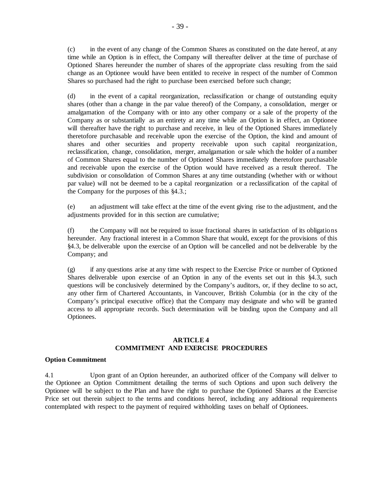(c) in the event of any change of the Common Shares as constituted on the date hereof, at any time while an Option is in effect, the Company will thereafter deliver at the time of purchase of Optioned Shares hereunder the number of shares of the appropriate class resulting from the said change as an Optionee would have been entitled to receive in respect of the number of Common Shares so purchased had the right to purchase been exercised before such change;

(d) in the event of a capital reorganization, reclassification or change of outstanding equity shares (other than a change in the par value thereof) of the Company, a consolidation, merger or amalgamation of the Company with or into any other company or a sale of the property of the Company as or substantially as an entirety at any time while an Option is in effect, an Optionee will thereafter have the right to purchase and receive, in lieu of the Optioned Shares immediately theretofore purchasable and receivable upon the exercise of the Option, the kind and amount of shares and other securities and property receivable upon such capital reorganization, reclassification, change, consolidation, merger, amalgamation or sale which the holder of a number of Common Shares equal to the number of Optioned Shares immediately theretofore purchasable and receivable upon the exercise of the Option would have received as a result thereof. The subdivision or consolidation of Common Shares at any time outstanding (whether with or without par value) will not be deemed to be a capital reorganization or a reclassification of the capital of the Company for the purposes of this §4.3.;

(e) an adjustment will take effect at the time of the event giving rise to the adjustment, and the adjustments provided for in this section are cumulative:

(f) the Company will not be required to issue fractional shares in satisfaction of its obligations hereunder. Any fractional interest in a Common Share that would, except for the provisions of this §4.3, be deliverable upon the exercise of an Option will be cancelled and not be deliverable by the Company; and

(g) if any questions arise at any time with respect to the Exercise Price or number of Optioned Shares deliverable upon exercise of an Option in any of the events set out in this §4.3, such questions will be conclusively determined by the Company's auditors, or, if they decline to so act, any other firm of Chartered Accountants, in Vancouver, British Columbia (or in the city of the Company's principal executive office) that the Company may designate and who will be granted access to all appropriate records. Such determination will be binding upon the Company and all Optionees.

### **ARTICLE 4 COMMITMENT AND EXERCISE PROCEDURES**

#### **Option Commitment**

4.1 Upon grant of an Option hereunder, an authorized officer of the Company will deliver to the Optionee an Option Commitment detailing the terms of such Options and upon such delivery the Optionee will be subject to the Plan and have the right to purchase the Optioned Shares at the Exercise Price set out therein subject to the terms and conditions hereof, including any additional requirements contemplated with respect to the payment of required withholding taxes on behalf of Optionees.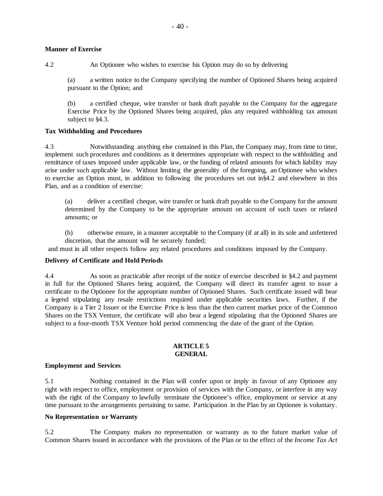### **Manner of Exercise**

4.2 An Optionee who wishes to exercise his Option may do so by delivering

(a) a written notice to the Company specifying the number of Optioned Shares being acquired pursuant to the Option; and

(b) a certified cheque, wire transfer or bank draft payable to the Company for the aggregate Exercise Price by the Optioned Shares being acquired, plus any required withholding tax amount subject to §4.3.

# **Tax Withholding and Procedures**

4.3 Notwithstanding anything else contained in this Plan, the Company may, from time to time, implement such procedures and conditions as it determines appropriate with respect to the withholding and remittance of taxes imposed under applicable law, or the funding of related amounts for which liability may arise under such applicable law. Without limiting the generality of the foregoing, an Optionee who wishes to exercise an Option must, in addition to following the procedures set out in§4.2 and elsewhere in this Plan, and as a condition of exercise:

(a) deliver a certified cheque, wire transfer or bank draft payable to the Company for the amount determined by the Company to be the appropriate amount on account of such taxes or related amounts; or

(b) otherwise ensure, in a manner acceptable to the Company (if at all) in its sole and unfettered discretion, that the amount will be securely funded;

and must in all other respects follow any related procedures and conditions imposed by the Company.

# **Delivery of Certificate and Hold Periods**

4.4 As soon as practicable after receipt of the notice of exercise described in §4.2 and payment in full for the Optioned Shares being acquired, the Company will direct its transfer agent to issue a certificate to the Optionee for the appropriate number of Optioned Shares. Such certificate issued will bear a legend stipulating any resale restrictions required under applicable securities laws. Further, if the Company is a Tier 2 Issuer or the Exercise Price is less than the then current market price of the Common Shares on the TSX Venture, the certificate will also bear a legend stipulating that the Optioned Shares are subject to a four-month TSX Venture hold period commencing the date of the grant of the Option.

#### **ARTICLE 5 GENERAL**

# **Employment and Services**

5.1 Nothing contained in the Plan will confer upon or imply in favour of any Optionee any right with respect to office, employment or provision of services with the Company, or interfere in any way with the right of the Company to lawfully terminate the Optionee's office, employment or service at any time pursuant to the arrangements pertaining to same. Participation in the Plan by an Optionee is voluntary.

# **No Representation or Warranty**

5.2 The Company makes no representation or warranty as to the future market value of Common Shares issued in accordance with the provisions of the Plan or to the effect of the *Income Tax Act*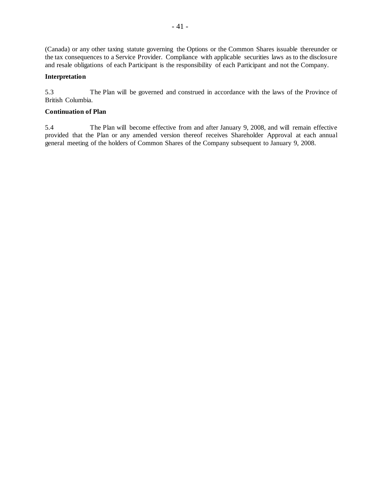(Canada) or any other taxing statute governing the Options or the Common Shares issuable thereunder or the tax consequences to a Service Provider. Compliance with applicable securities laws as to the disclosure and resale obligations of each Participant is the responsibility of each Participant and not the Company.

# **Interpretation**

5.3 The Plan will be governed and construed in accordance with the laws of the Province of British Columbia.

#### **Continuation of Plan**

5.4 The Plan will become effective from and after January 9, 2008, and will remain effective provided that the Plan or any amended version thereof receives Shareholder Approval at each annual general meeting of the holders of Common Shares of the Company subsequent to January 9, 2008.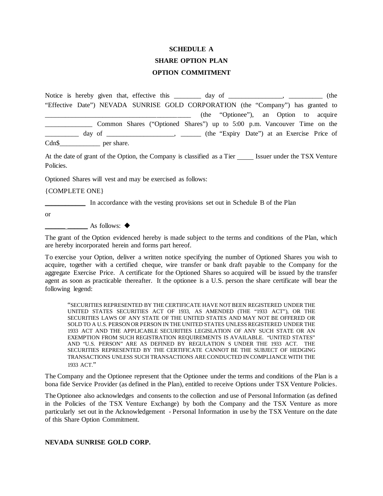# **SCHEDULE A SHARE OPTION PLAN OPTION COMMITMENT**

Notice is hereby given that, effective this \_\_\_\_\_\_\_ day of \_\_\_\_\_\_\_\_\_\_\_\_\_, \_\_\_\_\_\_\_\_\_\_ (the "Effective Date") NEVADA SUNRISE GOLD CORPORATION (the "Company") has granted to \_\_\_\_\_\_\_\_\_\_\_\_\_\_\_\_\_\_\_\_\_\_\_\_\_\_\_\_\_\_\_\_\_\_\_\_\_\_\_\_\_\_\_ (the "Optionee"), an Option to acquire \_\_\_\_\_\_\_\_\_\_\_\_\_\_ Common Shares ("Optioned Shares") up to 5:00 p.m. Vancouver Time on the day of \_\_\_\_\_\_\_\_\_\_\_\_\_\_\_\_, \_\_\_\_\_\_ (the "Expiry Date") at an Exercise Price of Cdn\$\_\_\_\_\_\_\_\_\_\_\_\_\_ per share.

At the date of grant of the Option, the Company is classified as a Tier Issuer under the TSX Venture Policies.

Optioned Shares will vest and may be exercised as follows:

{COMPLETE ONE}

\_\_\_\_\_\_\_\_\_\_\_\_ In accordance with the vesting provisions set out in Schedule B of the Plan

or

 $\overline{\phantom{a}}$  As follows:  $\bullet$ 

The grant of the Option evidenced hereby is made subject to the terms and conditions of the Plan, which are hereby incorporated herein and forms part hereof.

To exercise your Option, deliver a written notice specifying the number of Optioned Shares you wish to acquire, together with a certified cheque, wire transfer or bank draft payable to the Company for the aggregate Exercise Price. A certificate for the Optioned Shares so acquired will be issued by the transfer agent as soon as practicable thereafter. It the optionee is a U.S. person the share certificate will bear the following legend:

"SECURITIES REPRESENTED BY THE CERTIFICATE HAVE NOT BEEN REGISTERED UNDER THE UNITED STATES SECURITIES ACT OF 1933, AS AMENDED (THE "1933 ACT"), OR THE SECURITIES LAWS OF ANY STATE OF THE UNITED STATES AND MAY NOT BE OFFERED OR SOLD TO A U.S. PERSON OR PERSON IN THE UNITED STATES UNLESS REGISTERED UNDER THE 1933 ACT AND THE APPLICABLE SECURITIES LEGISLATION OF ANY SUCH STATE OR AN EXEMPTION FROM SUCH REGISTRATION REQUIREMENTS IS AVAILABLE. "UNITED STATES" AND "U.S. PERSON" ARE AS DEFINED BY REGULATION S UNDER THE 1933 ACT. THE SECURITIES REPRESENTED BY THE CERTIFICATE CANNOT BE THE SUBJECT OF HEDGING TRANSACTIONS UNLESS SUCH TRANSACTIONS ARE CONDUCTED IN COMPLIANCE WITH THE 1933 ACT."

The Company and the Optionee represent that the Optionee under the terms and conditions of the Plan is a bona fide Service Provider (as defined in the Plan), entitled to receive Options under TSX Venture Policies.

The Optionee also acknowledges and consents to the collection and use of Personal Information (as defined in the Policies of the TSX Venture Exchange) by both the Company and the TSX Venture as more particularly set out in the Acknowledgement - Personal Information in use by the TSX Venture on the date of this Share Option Commitment.

#### **NEVADA SUNRISE GOLD CORP.**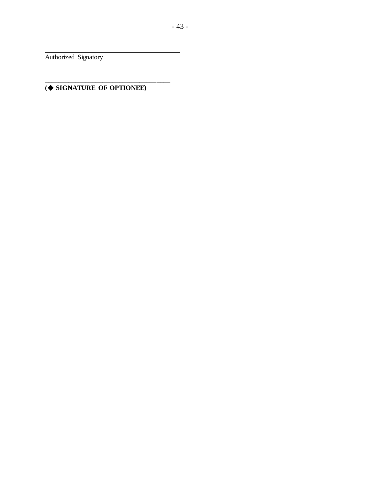Authorized Signatory

#### \_\_\_\_\_\_\_\_\_\_\_\_\_\_\_\_\_\_\_\_\_\_\_\_\_\_\_\_\_\_\_\_\_\_\_\_\_ **( SIGNATURE OF OPTIONEE)**